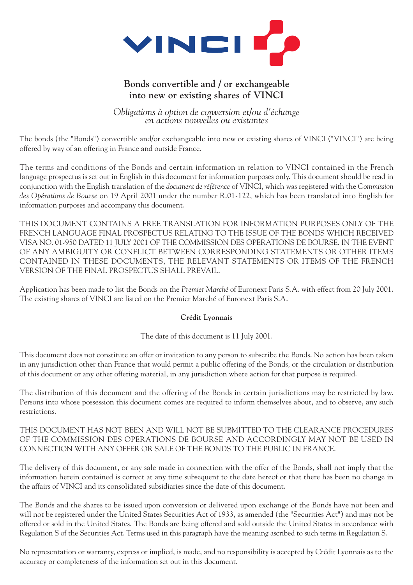

#### **Bonds convertible and / or exchangeable into new or existing shares of VINCI**

*Obligations à option de conversion et/ou d'échange en actions nouvelles ou existantes*

The bonds (the "Bonds") convertible and/or exchangeable into new or existing shares of VINCI ("VINCI") are being offered by way of an offering in France and outside France.

The terms and conditions of the Bonds and certain information in relation to VINCI contained in the French language prospectus is set out in English in this document for information purposes only. This document should be read in conjunction with the English translation of the *document de référence* of VINCI, which was registered with the *Commission des Opérations de Bourse* on 19 April 2001 under the number R.01-122, which has been translated into English for information purposes and accompany this document.

THIS DOCUMENT CONTAINS A FREE TRANSLATION FOR INFORMATION PURPOSES ONLY OF THE FRENCH LANGUAGE FINAL PROSPECTUS RELATING TO THE ISSUE OF THE BONDS WHICH RECEIVED VISA NO. 01-950 DATED 11 JULY 2001 OF THE COMMISSION DES OPERATIONS DE BOURSE. IN THE EVENT OF ANY AMBIGUITY OR CONFLICT BETWEEN CORRESPONDING STATEMENTS OR OTHER ITEMS CONTAINED IN THESE DOCUMENTS, THE RELEVANT STATEMENTS OR ITEMS OF THE FRENCH VERSION OF THE FINAL PROSPECTUS SHALL PREVAIL.

Application has been made to list the Bonds on the *Premier Marché* of Euronext Paris S.A. with effect from 20 July 2001. The existing shares of VINCI are listed on the Premier Marché of Euronext Paris S.A.

#### **Crédit Lyonnais**

The date of this document is 11 July 2001.

This document does not constitute an offer or invitation to any person to subscribe the Bonds. No action has been taken in any jurisdiction other than France that would permit a public offering of the Bonds, or the circulation or distribution of this document or any other offering material, in any jurisdiction where action for that purpose is required.

The distribution of this document and the offering of the Bonds in certain jurisdictions may be restricted by law. Persons into whose possession this document comes are required to inform themselves about, and to observe, any such restrictions.

THIS DOCUMENT HAS NOT BEEN AND WILL NOT BE SUBMITTED TO THE CLEARANCE PROCEDURES OF THE COMMISSION DES OPERATIONS DE BOURSE AND ACCORDINGLY MAY NOT BE USED IN CONNECTION WITH ANY OFFER OR SALE OF THE BONDS TO THE PUBLIC IN FRANCE.

The delivery of this document, or any sale made in connection with the offer of the Bonds, shall not imply that the information herein contained is correct at any time subsequent to the date hereof or that there has been no change in the affairs of VINCI and its consolidated subsidiaries since the date of this document.

The Bonds and the shares to be issued upon conversion or delivered upon exchange of the Bonds have not been and will not be registered under the United States Securities Act of 1933, as amended (the "Securities Act") and may not be offered or sold in the United States. The Bonds are being offered and sold outside the United States in accordance with Regulation S of the Securities Act. Terms used in this paragraph have the meaning ascribed to such terms in Regulation S.

No representation or warranty, express or implied, is made, and no responsibility is accepted by Crédit Lyonnais as to the accuracy or completeness of the information set out in this document.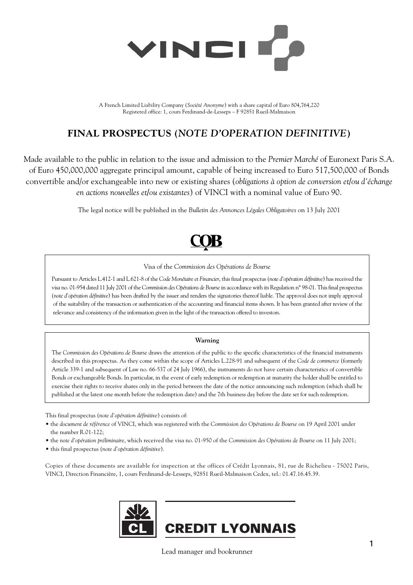

A French Limited Liability Company (*Société Anonyme*) with a share capital of Euro 804,764,220 Registered office: 1, cours Ferdinand-de-Lesseps – F 92851 Rueil-Malmaison

### **FINAL PROSPECTUS (***NOTE D'OPERATION DEFINITIVE***)**

Made available to the public in relation to the issue and admission to the *Premier Marché* of Euronext Paris S.A. of Euro 450,000,000 aggregate principal amount, capable of being increased to Euro 517,500,000 of Bonds convertible and/or exchangeable into new or existing shares (*obligations à option de conversion et/ou d'échange en actions nouvelles et/ou existantes*) of VINCI with a nominal value of Euro 90.

The legal notice will be published in the *Bulletin des Annonces Légales Obligatoires* on 13 July 2001

#### Visa of the *Commission des Opérations de Bourse*

Pursuant to Articles L.412-1 and L.621-8 of the *Code Monétaire et Financier*, this final prospectus (*note d'opération définitive*) has received the visa no. 01-954 dated 11 July 2001 of the *Commission des Opérations de Bourse*in accordance with its Regulation n° 98-01. This final prospectus (*note d'opération définitive*) has been drafted by the issuer and renders the signatories thereof liable. The approval does not imply approval of the suitability of the transaction or authentication of the accounting and financial items shown. It has been granted after review of the relevance and consistency of the information given in the light of the transaction offered to investors.

#### **Warning**

The *Commission des Opérations de Bourse* draws the attention of the public to the specific characteristics of the financial instruments described in this prospectus. As they come within the scope of Articles L.228-91 and subsequent of the *Code de commerce* (formerly Article 339-1 and subsequent of Law no. 66-537 of 24 July 1966), the instruments do not have certain characteristics of convertible Bonds or exchangeable Bonds. In particular, in the event of early redemption or redemption at maturity the holder shall be entitled to exercise their rights to receive shares only in the period between the date of the notice announcing such redemption (which shall be published at the latest one month before the redemption date) and the 7th business day before the date set for such redemption.

This final prospectus (*note d'opération définitive*) consists of:

- the *document de référence* of VINCI, which was registered with the *Commission des Opérations de Bourse* on 19 April 2001 under the number R.01-122;
- the *note d'opération préliminaire*, which received the visa no. 01-950 of the *Commission des Opérations de Bourse* on 11 July 2001;

• this final prospectus (*note d'opération définitive*).

Copies of these documents are available for inspection at the offices of Crédit Lyonnais, 81, rue de Richelieu - 75002 Paris, VINCI, Direction Financière, 1, cours Ferdinand-de-Lesseps, 92851 Rueil-Malmaison Cedex, tel.: 01.47.16.45.39.



Lead manager and bookrunner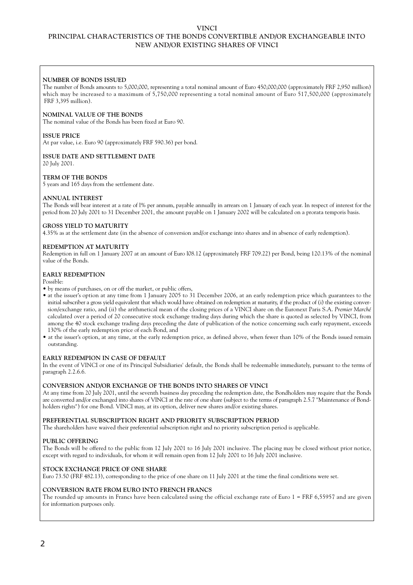#### **VINCI PRINCIPAL CHARACTERISTICS OF THE BONDS CONVERTIBLE AND/OR EXCHANGEABLE INTO NEW AND/OR EXISTING SHARES OF VINCI**

#### **NUMBER OF BONDS ISSUED**

The number of Bonds amounts to 5,000,000, representing a total nominal amount of Euro 450,000,000 (approximately FRF 2,950 million) which may be increased to a maximum of 5,750,000 representing a total nominal amount of Euro 517,500,000 (approximately FRF 3,395 million).

#### **NOMINAL VALUE OF THE BONDS**

The nominal value of the Bonds has been fixed at Euro 90.

#### **ISSUE PRICE**

At par value, i.e. Euro 90 (approximately FRF 590.36) per bond.

#### **ISSUE DATE AND SETTLEMENT DATE**

20 July 2001.

#### **TERM OF THE BONDS**

5 years and 165 days from the settlement date.

#### **ANNUAL INTEREST**

The Bonds will bear interest at a rate of l% per annum, payable annually in arrears on 1 January of each year. In respect of interest for the period from 20 July 2001 to 31 December 2001, the amount payable on 1 January 2002 will be calculated on a prorata temporis basis.

#### **GROSS YIELD TO MATURITY**

4.35% as at the settlement date (in the absence of conversion and/or exchange into shares and in absence of early redemption).

#### **REDEMPTION AT MATURITY**

Redemption in full on 1 January 2007 at an amount of Euro l08.12 (approximately FRF 709.22) per Bond, being 120.13% of the nominal value of the Bonds.

#### **EARLY REDEMPTION**

Possible:

- by means of purchases, on or off the market, or public offers,
- at the issuer's option at any time from 1 January 2005 to 31 December 2006, at an early redemption price which guarantees to the initial subscriber a gross yield equivalent that which would have obtained on redemption at maturity, if the product of (i) the existing conversion/exchange ratio, and (ii) the arithmetical mean of the closing prices of a VINCI share on the Euronext Paris S.A. *Premier Marché* calculated over a period of 20 consecutive stock exchange trading days during which the share is quoted as selected by VINCI, from among the 40 stock exchange trading days preceding the date of publication of the notice concerning such early repayment, exceeds 130% of the early redemption price of each Bond, and
- at the issuer's option, at any time, at the early redemption price, as defined above, when fewer than 10% of the Bonds issued remain outstanding.

#### **EARLY REDEMPION IN CASE OF DEFAULT**

In the event of VINCI or one of its Principal Subsidiaries' default, the Bonds shall be redeemable immediately, pursuant to the terms of paragraph 2.2.6.6.

#### **CONVERSION AND/OR EXCHANGE OF THE BONDS INTO SHARES OF VINCI**

At any time from 20 July 2001, until the seventh business day preceding the redemption date, the Bondholders may require that the Bonds are converted and/or exchanged into shares of VINCI at the rate of one share (subject to the terms of paragraph 2.5.7 "Maintenance of Bondholders rights") for one Bond. VINCI may, at its option, deliver new shares and/or existing shares.

#### **PREFERENTIAL SUBSCRIPTION RIGHT AND PRIORITY SUBSCRIPTION PERIOD**

The shareholders have waived their preferential subscription right and no priority subscription period is applicable.

#### **PUBLIC OFFERING**

The Bonds will be offered to the public from 12 July 2001 to 16 July 2001 inclusive. The placing may be closed without prior notice, except with regard to individuals, for whom it will remain open from 12 July 2001 to 16 July 2001 inclusive.

#### **STOCK EXCHANGE PRICE OF ONE SHARE**

Euro 73.50 (FRF 482.13), corresponding to the price of one share on 11 July 2001 at the time the final conditions were set.

#### **CONVERSION RATE FROM EURO INTO FRENCH FRANCS**

The rounded up amounts in Francs have been calculated using the official exchange rate of Euro 1 = FRF 6,55957 and are given for information purposes only.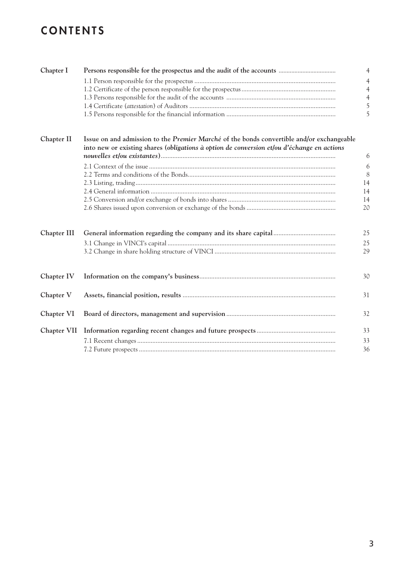### **CONTENTS**

| Chapter I   |                                                                                                                                                                                         | $\overline{4}$ |
|-------------|-----------------------------------------------------------------------------------------------------------------------------------------------------------------------------------------|----------------|
|             |                                                                                                                                                                                         | $\overline{4}$ |
|             |                                                                                                                                                                                         | $\overline{4}$ |
|             |                                                                                                                                                                                         | $\overline{4}$ |
|             |                                                                                                                                                                                         | 5              |
|             |                                                                                                                                                                                         |                |
|             |                                                                                                                                                                                         | 5              |
| Chapter II  | Issue on and admission to the Premier Marché of the bonds convertible and/or exchangeable<br>into new or existing shares (obligations à option de conversion et/ou d'échange en actions | 6              |
|             |                                                                                                                                                                                         | 6              |
|             |                                                                                                                                                                                         | 8              |
|             |                                                                                                                                                                                         | 14             |
|             |                                                                                                                                                                                         | 14             |
|             |                                                                                                                                                                                         |                |
|             |                                                                                                                                                                                         | 14<br>20       |
| Chapter III |                                                                                                                                                                                         | 25             |
|             |                                                                                                                                                                                         | 25             |
|             |                                                                                                                                                                                         | 29             |
| Chapter IV  |                                                                                                                                                                                         | 30             |
| Chapter V   |                                                                                                                                                                                         | 31             |
| Chapter VI  |                                                                                                                                                                                         | 32             |
| Chapter VII |                                                                                                                                                                                         | 33             |
|             |                                                                                                                                                                                         | 33             |
|             |                                                                                                                                                                                         | 36             |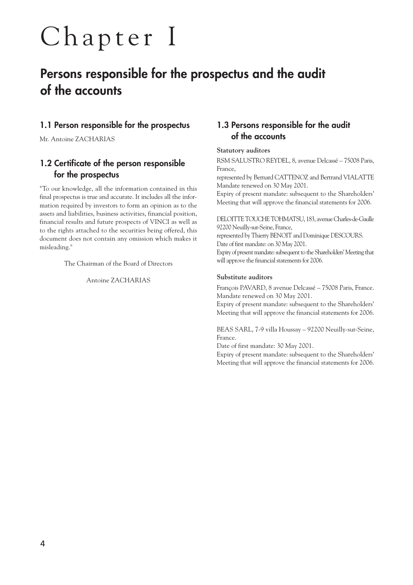## Chapter I

### **Persons responsible for the prospectus and the audit of the accounts**

#### **1.1 Person responsible for the prospectus**

Mr. Antoine ZACHARIAS

#### **1.2 Certificate of the person responsible for the prospectus**

"To our knowledge, all the information contained in this final prospectus is true and accurate. It includes all the information required by investors to form an opinion as to the assets and liabilities, business activities, financial position, financial results and future prospects of VINCI as well as to the rights attached to the securities being offered, this document does not contain any omission which makes it misleading."

The Chairman of the Board of Directors

Antoine ZACHARIAS

#### **1.3 Persons responsible for the audit of the accounts**

#### **Statutory auditors**

RSM SALUSTRO REYDEL, 8, avenue Delcassé – 75008 Paris, France,

represented by Bernard CATTENOZ and Bertrand VIALATTE Mandate renewed on 30 May 2001.

Expiry of present mandate: subsequent to the Shareholders' Meeting that will approve the financial statements for 2006.

DELOITTE TOUCHE TOHMATSU, 183, avenue Charles-de-Gaulle 92200 Neuilly-sur-Seine, France,

represented by Thierry BENOIT and Dominique DESCOURS. Date of first mandate: on 30 May 2001.

Expiry of present mandate: subsequent to the Shareholders' Meeting that will approve the financial statements for 2006.

#### **Substitute auditors**

François PAVARD, 8 avenue Delcassé – 75008 Paris, France. Mandate renewed on 30 May 2001.

Expiry of present mandate: subsequent to the Shareholders' Meeting that will approve the financial statements for 2006.

BEAS SARL, 7-9 villa Houssay – 92200 Neuilly-sur-Seine, France.

Date of first mandate: 30 May 2001.

Expiry of present mandate: subsequent to the Shareholders' Meeting that will approve the financial statements for 2006.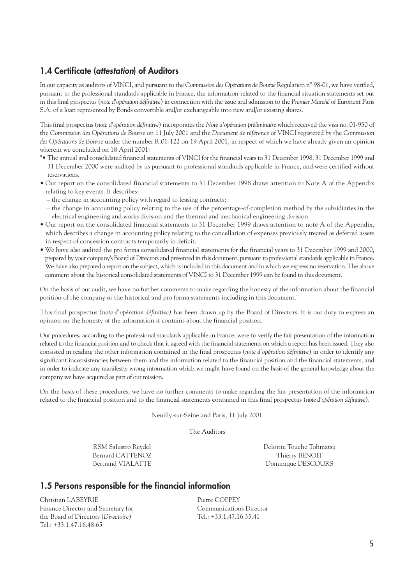#### **1.4 Certificate (***attestation***) of Auditors**

In our capacity as auditors of VINCI, and pursuant to the *Commission des Opérations de Bourse* Regulation n° 98-01, we have verified, pursuant to the professional standards applicable in France, the information related to the financial situation statements set out in this final prospectus (*note d'opération définitive*) in connection with the issue and admission to the *Premier Marché* of Euronext Paris S.A. of a loan represented by Bonds convertible and/or exchangeable into new and/or existing shares.

This final prospectus (*note d'opération définitive*) incorporates the *Note d'opération préliminaire* which received the visa no. 01-950 of the *Commission des Opérations de Bourse* on 11 July 2001 and the *Document de référence* of VINCI registered by the *Commission des Opérations de Bourse* under the number R.01-122 on 19 April 2001, in respect of which we have already given an opinion wherein we concluded on 18 April 2001:

- "• The annual and consolidated financial statements of VINCI for the financial years to 31 December 1998, 31 December 1999 and 31 December 2000 were audited by us pursuant to professional standards applicable in France, and were certified without reservations.
- Our report on the consolidated financial statements to 31 December 1998 draws attention to Note A of the Appendix relating to key events. It describes:
	- the change in accounting policy with regard to leasing contracts;
	- the change in accounting policy relating to the use of the percentage-of-completion method by the subsidiaries in the electrical engineering and works division and the thermal and mechanical engineering division
- Our report on the consolidated financial statements to 31 December 1999 draws attention to note A of the Appendix, which describes a change in accounting policy relating to the cancellation of expenses previously treated as deferred assets in respect of concession contracts temporarily in deficit.
- We have also audited the pro forma consolidated financial statements for the financial years to 31 December 1999 and 2000, prepared by your company's Board of Directors and presented in this document, pursuant to professional standards applicable in France. We have also prepared a report on the subject, which is included in this document and in which we express no reservation. The above comment about the historical consolidated statements of VINCI to 31 December 1999 can be found in this document.

On the basis of our audit, we have no further comments to make regarding the honesty of the information about the financial position of the company or the historical and pro forma statements including in this document."

This final prospectus *(note d'opération définitive)* has been drawn up by the Board of Directors. It is our duty to express an opinion on the honesty of the information it contains about the financial position.

Our procedures, according to the professional standards applicable in France, were to verify the fair presentation of the information related to the financial position and to check that it agreed with the financial statements on which a report has been issued. They also consisted in reading the other information contained in the final prospectus (*note d'opération définitive*) in order to identify any significant inconsistencies between them and the information related to the financial position and the financial statements, and in order to indicate any manifestly wrong information which we might have found on the basis of the general knowledge about the company we have acquired as part of our mission.

On the basis of these procedures, we have no further comments to make regarding the fair presentation of the information related to the financial position and to the financial statements contained in this final prospectus (*note d'opération définitive*).

Neuilly-sur-Seine and Paris, 11 July 2001

The Auditors

Bernard CATTENOZ Thierry BENOIT

RSM Salustro Reydel Deloitte Touche Tohmatsu Bertrand VIALATTE Dominique DESCOURS

#### **1.5 Persons responsible for the financial information**

Christian LABEYRIE Pierre COPPEY Finance Director and Secretary for The Communications Director the Board of Directors (*Directoire*) Tel.: +33.1.47.16.35.41 Tel.: +33.1.47.16.48.65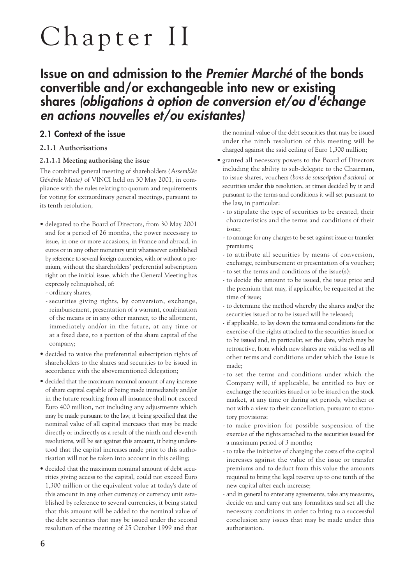## Chapter II

### **Issue on and admission to the** *Premier Marché* **of the bonds convertible and/or exchangeable into new or existing shares** *(obligations à option de conversion et/ou d'échange en actions nouvelles et/ou existantes)*

#### **2.1 Context of the issue**

#### **2.1.1 Authorisations**

#### **2.1.1.1 Meeting authorising the issue**

The combined general meeting of shareholders *(Assemblée Générale Mixte)* of VINCI held on 30 May 2001, in compliance with the rules relating to quorum and requirements for voting for extraordinary general meetings, pursuant to its tenth resolution,

- delegated to the Board of Directors, from 30 May 2001 and for a period of 26 months, the power necessary to issue, in one or more accasions, in France and abroad, in euros or in any other monetary unit whatsoever established by reference to several foreign currencies, with or without a premium, without the shareholders' preferential subscription right on the initial issue, which the General Meeting has expressly relinquished, of:
	- ordinary shares,
	- securities giving rights, by conversion, exchange, reimbursement, presentation of a warrant, combination of the means or in any other manner, to the allotment, immediately and/or in the future, at any time or at a fixed date, to a portion of the share capital of the company;
- decided to waive the preferential subscription rights of shareholders to the shares and securities to be issued in accordance with the abovementioned delegation;
- decided that the maximum nominal amount of any increase of share capital capable of being made immediately and/or in the future resulting from all insuance shall not exceed Euro 400 million, not including any adjustments which may be made pursuant to the law, it being specified that the nominal value of all capital increases that may be made directly or indirectly as a result of the ninth and eleventh resolutions, will be set against this amount, it being understood that the capital increases made prior to this authorisation will not be taken into account in this ceiling;
- decided that the maximum nominal amount of debt securities giving access to the capital, could not exceed Euro 1,300 million or the equivalent value at today's date of this amount in any other currency or currency unit established by reference to several currencies, it being stated that this amount will be added to the nominal value of the debt securities that may be issued under the second resolution of the meeting of 25 October 1999 and that

the nominal value of the debt securities that may be issued under the ninth resolution of this meeting will be charged against the said ceiling of Euro 1,300 million;

- granted all necessary powers to the Board of Directors including the ability to sub-delegate to the Chairman, to issue shares, vouchers *(bons de souscription d'actions)* or securities under this resolution, at times decided by it and pursuant to the terms and conditions it will set pursuant to the law, in particular:
	- to stipulate the type of securities to be created, their characteristics and the terms and conditions of their issue;
	- to arrange for any charges to be set against issue or transfer premiums;
	- to attribute all securities by means of conversion, exchange, reimbursement or presentation of a voucher;
	- to set the terms and conditions of the issue(s);
	- to decide the amount to be issued, the issue price and the premium that may, if applicable, be requested at the time of issue;
	- to determine the method whereby the shares and/or the securities issued or to be issued will be released;
	- if applicable, to lay down the terms and conditions for the exercise of the rights attached to the securities issued or to be issued and, in particular, set the date, which may be retroactive, from which new shares are valid as well as all other terms and conditions under which the issue is made;
	- to set the terms and conditions under which the Company will, if applicable, be entitled to buy or exchange the securities issued or to be issued on the stock market, at any time or during set periods, whether or not with a view to their cancellation, pursuant to statutory provisions;
	- to make provision for possible suspension of the exercise of the rights attached to the securities issued for a maximum period of 3 months;
	- to take the initiative of charging the costs of the capital increases against the value of the issue or transfer premiums and to deduct from this value the amounts required to bring the legal reserve up to one tenth of the new capital after each increase;
	- and in general to enter any agreements, take any measures, decide on and carry out any formalities and set all the necessary conditions in order to bring to a successful conclusion any issues that may be made under this authorisation.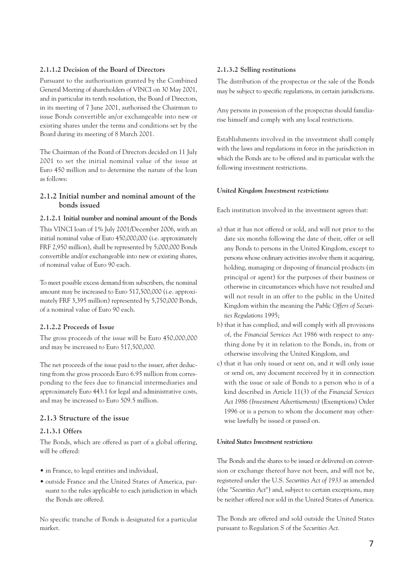#### **2.1.1.2 Decision of the Board of Directors**

Pursuant to the authorisation granted by the Combined General Meeting of shareholders of VINCI on 30 May 2001, and in particular its tenth resolution, the Board of Directors, in its meeting of 7 June 2001, authorised the Chairman to issue Bonds convertible an/or exchangeable into new or existing shares under the terms and conditions set by the Board during its meeting of 8 March 2001.

The Chairman of the Board of Directors decided on 11 July 2001 to set the initial nominal value of the issue at Euro 450 million and to determine the nature of the loan as follows:

#### **2.1.2 Initial number and nominal amount of the bonds issued**

#### **2.1.2.1 Initial number and nominal amount of the Bonds**

This VINCI loan of 1% July 2001/December 2006, with an initial nominal value of Euro 450,000,000 (i.e. approximately FRF 2,950 million), shall be represented by 5,000,000 Bonds convertible and/or exchangeable into new or existing shares, of nominal value of Euro 90 each.

To meet possible excess demand from subscribers, the nominal amount may be increased to Euro 517,500,000 (i.e. approximately FRF 3,395 million) represented by 5,750,000 Bonds, of a nominal value of Euro 90 each.

#### **2.1.2.2 Proceeds of Issue**

The gross proceeds of the issue will be Euro 450,000,000 and may be increased to Euro 517,500,000.

The net proceeds of the issue paid to the issuer, after deducting from the gross proceeds Euro 6.95 million from corresponding to the fees due to financial intermediaries and approximately Euro 443.1 for legal and administrative costs, and may be increased to Euro 509.5 million.

#### **2.1.3 Structure of the issue**

#### **2.1.3.1 Offers**

The Bonds, which are offered as part of a global offering, will be offered:

- in France, to legal entities and individual,
- outside France and the United States of America, pursuant to the rules applicable to each jurisdiction in which the Bonds are offered.

No specific tranche of Bonds is designated for a particular market.

#### **2.1.3.2 Selling restitutions**

The distribution of the prospectus or the sale of the Bonds may be subject to specific regulations, in certain jurisdictions.

Any persons in possession of the prospectus should familiarise himself and comply with any local restrictions.

Establishments involved in the investment shall comply with the laws and regulations in force in the jurisdiction in which the Bonds are to be offered and in particular with the following investment restrictions.

#### *United Kingdom Investment restrictions*

Each institution involved in the investment agrees that:

- a) that it has not offered or sold, and will not prior to the date six months following the date of their, offer or sell any Bonds to persons in the United Kingdom, except to persons whose ordinary activities involve them it acquiring, holding, managing or disposing of financial products (in principal or agent) for the purposes of their business or otherwise in circumstances which have not resulted and will not result in an offer to the public in the United Kingdom within the meaning the *Public Offers of Securities Regulations* 1995;
- b) that it has complied, and will comply with all provisions of, the *Financial Services Act* 1986 with respect to anything done by it in relation to the Bonds, in, from or otherwise involving the United Kingdom, and
- c) that it has only issued or sent on, and it will only issue or send on, any document received by it in connection with the issue or sale of Bonds to a person who is of a kind described in Article 11(3) of the *Financial Services Act 1986 (Investment Advertisements)* (Exemptions) Order 1996 or is a person to whom the document may otherwise lawfully be issued or passed on.

#### *United States Investment restrictions*

The Bonds and the shares to be issued or delivered on conversion or exchange thereof have not been, and will not be, registered under the U.S. *Securities Act of 1933* as amended (the "*Securities Act*") and, subject to certain exceptions, may be neither offered nor sold in the United States of America.

The Bonds are offered and sold outside the United States pursuant to Regulation S of the *Securities Act*.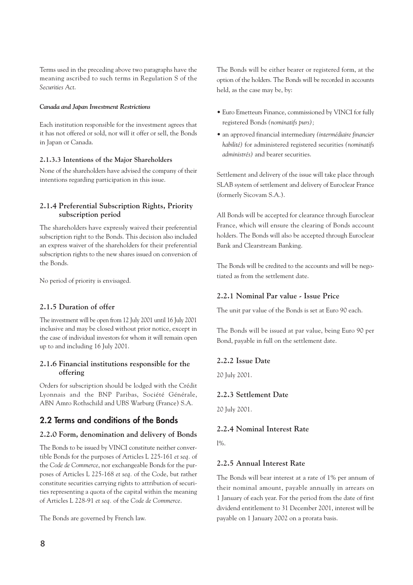Terms used in the preceding above two paragraphs have the meaning ascribed to such terms in Regulation S of the *Securities Act*.

#### *Canada and Japan Investment Restrictions*

Each institution responsible for the investment agrees that it has not offered or sold, nor will it offer or sell, the Bonds in Japan or Canada.

#### **2.1.3.3 Intentions of the Major Shareholders**

None of the shareholders have advised the company of their intentions regarding participation in this issue.

#### **2.1.4 Preferential Subscription Rights, Priority subscription period**

The shareholders have expressly waived their preferential subscription right to the Bonds. This decision also included an express waiver of the shareholders for their preferential subscription rights to the new shares issued on conversion of the Bonds.

No period of priority is envisaged.

#### **2.1.5 Duration of offer**

The investment will be open from 12 July 2001 until 16 July 2001 inclusive and may be closed without prior notice, except in the case of individual investors for whom it will remain open up to and including 16 July 2001.

#### **2.1.6 Financial institutions responsible for the offering**

Orders for subscription should be lodged with the Crédit Lyonnais and the BNP Paribas, Société Générale, ABN Amro Rothschild and UBS Warburg (France) S.A.

#### **2.2 Terms and conditions of the Bonds**

#### **2.2.0 Form, denomination and delivery of Bonds**

The Bonds to be issued by VINCI constitute neither convertible Bonds for the purposes of Articles L 225-161 *et seq.* of the *Code de Commerce*, nor exchangeable Bonds for the purposes of Articles L 225-168 *et seq.* of the Code, but rather constitute securities carrying rights to attribution of securities representing a quota of the capital within the meaning of Articles L 228-91 *et seq.* of the *Code de Commerce*.

The Bonds are governed by French law.

The Bonds will be either bearer or registered form, at the option of the holders. The Bonds will be recorded in accounts held, as the case may be, by:

- Euro Emetteurs Finance, commissioned by VINCI for fully registered Bonds *(nominatifs purs);*
- an approved financial intermediary *(intermédiaire financier habilité)* for administered registered securities *(nominatifs administrés)* and bearer securities.

Settlement and delivery of the issue will take place through SLAB system of settlement and delivery of Euroclear France (formerly Sicovam S.A.).

All Bonds will be accepted for clearance through Euroclear France, which will ensure the clearing of Bonds account holders. The Bonds will also be accepted through Euroclear Bank and Clearstream Banking.

The Bonds will be credited to the accounts and will be negotiated as from the settlement date.

#### **2.2.1 Nominal Par value - Issue Price**

The unit par value of the Bonds is set at Euro 90 each.

The Bonds will be issued at par value, being Euro 90 per Bond, payable in full on the settlement date.

#### **2.2.2 Issue Date**

20 July 2001.

#### **2.2.3 Settlement Date**

20 July 2001.

#### **2.2.4 Nominal Interest Rate**

l%.

#### **2.2.5 Annual Interest Rate**

The Bonds will bear interest at a rate of 1% per annum of their nominal amount, payable annually in arrears on 1 January of each year. For the period from the date of first dividend entitlement to 31 December 2001, interest will be payable on 1 January 2002 on a prorata basis.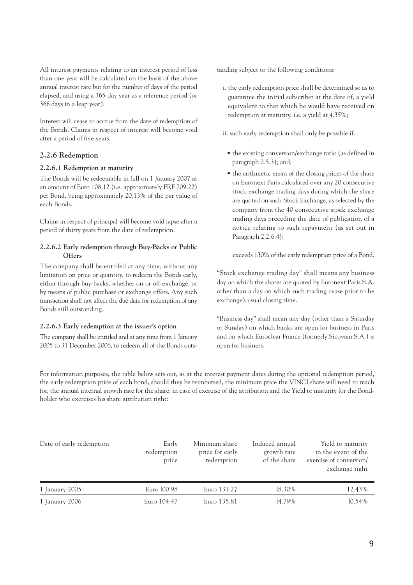All interest payments relating to an interest period of less than one year will be calculated on the basis of the above annual interest rate but for the number of days of the period elapsed, and using a 365-day year as a reference period (or 366 days in a leap year).

Interest will cease to accrue from the date of redemption of the Bonds. Claims in respect of interest will become void after a period of five years.

#### **2.2.6 Redemption**

#### **2.2.6.1 Redemption at maturity**

The Bonds will be redeemable in full on 1 January 2007 at an amount of Euro 108.12 (i.e. approximately FRF 709.22) per Bond, being approximately 20.13% of the par value of each Bonds.

Claims in respect of principal will become void lapse after a period of thirty years from the date of redemption.

#### **2.2.6.2 Early redemption through Buy-Backs or Public Offers**

The company shall be entitled at any time, without any limitation on price or quantity, to redeem the Bonds early, either through buy-backs, whether on or off-exchange, or by means of public purchase or exchange offers. Any such transaction shall not affect the due date for redemption of any Bonds still outstanding.

#### **2.2.6.3 Early redemption at the issuer's option**

The company shall be entitled and at any time from 1 January 2005 to 31 December 2006, to redeem all of the Bonds outstanding subject to the following conditions:

i. the early redemption price shall be determined so as to guarantee the initial subscriber at the date of, a yield equivalent to that which he would have received on redemption at maturity, i.e. a yield at 4.35%;

ii. such early redemption shall only be possible if:

- the existing conversion/exchange ratio (as defined in paragraph 2.5.3); and,
- the arithmetic mean of the closing prices of the share on Euronext Paris calculated over any 20 consecutive stock exchange trading days during which the share are quoted on such Stock Exchange, as selected by the company from the 40 consecutive stock exchange trading days preceding the date of publication of a notice relating to such repayment (as set out in Paragraph 2.2.6.4);

exceeds 130% of the early redemption price of a Bond.

"Stock exchange trading day" shall means any business day on which the shares are quoted by Euronext Paris S.A. other than a day on which such trading cease prior to he exchange's usual closing time.

"Business day" shall mean any day (other than a Saturday or Sunday) on which banks are open for business in Paris and on which Euroclear France (formerly Sicovam S.A.) is open for business.

For information purposes, the table below sets out, as at the interest payment dates during the optional redemption period, the early redemption price of each bond, should they be reimbursed, the minimum price the VINCI share will need to reach for, the annual internal growth rate for the share, in case of exercise of the attribution and the Yield to maturity for the Bondholder who exercises his share attribution right:

| Date of early redemption | Early<br>redemption<br>price | Minimum share<br>price for early<br>redemption | Induced annual<br>growth rate<br>of the share | Yield to maturity<br>in the event of the<br>exercise of conversion/<br>exchange right |
|--------------------------|------------------------------|------------------------------------------------|-----------------------------------------------|---------------------------------------------------------------------------------------|
| 1 January 2005           | Euro 100.98                  | Euro 131.27                                    | 18.30%                                        | 12.43%                                                                                |
| 1 January 2006           | Euro 104.47                  | Euro 135.81                                    | 14.79%                                        | 10.54%                                                                                |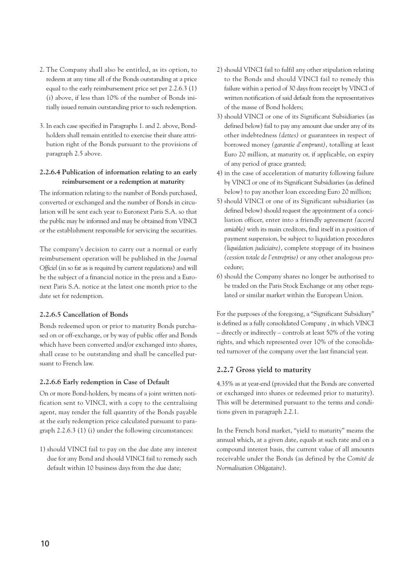- 2. The Company shall also be entitled, as its option, to redeem at any time all of the Bonds outstanding at a price equal to the early reimbursement price set per 2.2.6.3 (1) (i) above, if less than 10% of the number of Bonds initially issued remain outstanding prior to such redemption.
- 3. In each case specified in Paragraphs 1. and 2. above, Bondholders shall remain entitled to exercise their share attribution right of the Bonds pursuant to the provisions of paragraph 2.5 above.

#### **2.2.6.4 Publication of information relating to an early reimbursement or a redemption at maturity**

The information relating to the number of Bonds purchased, converted or exchanged and the number of Bonds in circulation will be sent each year to Euronext Paris S.A. so that the public may be informed and may be obtained from VINCI or the establishment responsible for servicing the securities.

The company's decision to carry out a normal or early reimbursement operation will be published in the *Journal Officiel* (in so far as is required by current regulations) and will be the subject of a financial notice in the press and a Euronext Paris S.A. notice at the latest one month prior to the date set for redemption.

#### **2.2.6.5 Cancellation of Bonds**

Bonds redeemed upon or prior to maturity Bonds purchased on or off-exchange, or by way of public offer and Bonds which have been converted and/or exchanged into shares, shall cease to be outstanding and shall be cancelled pursuant to French law.

#### **2.2.6.6 Early redemption in Case of Default**

On or more Bond-holders, by means of a joint written notification sent to VINCI, with a copy to the centralising agent, may render the full quantity of the Bonds payable at the early redemption price calculated pursuant to paragraph 2.2.6.3 (1) (i) under the following circumstances:

1) should VINCI fail to pay on the due date any interest due for any Bond and should VINCI fail to remedy such default within 10 business days from the due date;

- 2) should VINCI fail to fulfil any other stipulation relating to the Bonds and should VINCI fail to remedy this failure within a period of 30 days from receipt by VINCI of written notification of said default from the representatives of the masse of Bond holders;
- 3) should VINCI or one of its Significant Subsidiaries (as defined below) fail to pay any amount due under any of its other indebtedness *(dettes)* or guarantees in respect of borrowed money *(garantie d'emprunt)*, totalling at least Euro 20 million, at maturity or, if applicable, on expiry of any period of grace granted;
- 4) in the case of acceleration of maturity following failure by VINCI or one of its Significant Subsidiaries (as defined below) to pay another loan exceeding Euro 20 million;
- 5) should VINCI or one of its Significant subsidiaries (as defined below) should request the appointment of a conciliation officer, enter into a friendly agreement *(accord amiable)* with its main creditors, find itself in a position of payment suspension, be subject to liquidation procedures *(liquidation judiciaire)*, complete stoppage of its business *(cession totale de l'entreprise)* or any other analogous procedure;
- 6) should the Company shares no longer be authorised to be traded on the Paris Stock Exchange or any other regulated or similar market within the European Union.

For the purposes of the foregoing, a "Significant Subsidiary" is defined as a fully consolidated Company , in which VINCI – directly or indirectly – controls at least 50% of the voting rights, and which represented over 10% of the consolidated turnover of the company over the last financial year.

#### **2.2.7 Gross yield to maturity**

4.35% as at year-end (provided that the Bonds are converted or exchanged into shares or redeemed prior to maturity). This will be determined pursuant to the terms and conditions given in paragraph 2.2.1.

In the French bond market, "yield to maturity" means the annual which, at a given date, equals at such rate and on a compound interest basis, the current value of all amounts receivable under the Bonds (as defined by the *Comité de Normalisation Obligataire*).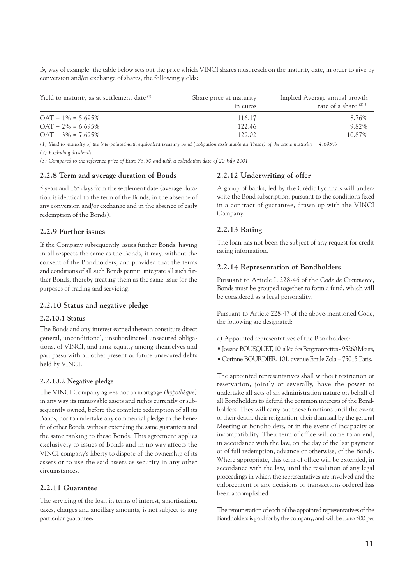By way of example, the table below sets out the price which VINCI shares must reach on the maturity date, in order to give by conversion and/or exchange of shares, the following yields:

| Yield to maturity as at settlement date <sup>(1)</sup> | Share price at maturity<br>in euros | Implied Average annual growth<br>rate of a share $(2)(3)$ |
|--------------------------------------------------------|-------------------------------------|-----------------------------------------------------------|
| $OAT + 1\% = 5.695\%$                                  | 116.17                              | 8.76%                                                     |
| $OAT + 2\% = 6.695\%$                                  | 122.46                              | 9.82%                                                     |
| $OAT + 3\% = 7.695\%$                                  | 129.02                              | 10.87%                                                    |

*(1) Yield to maturity of the interpolated with equivalent treasury bond (obligation assimilable du Tresor) of the same maturity = 4.695% (2) Excluding dividends.*

*(3) Compared to the reference price of Euro 73.50 and with a calculation date of 20 July 2001.*

#### **2.2.8 Term and average duration of Bonds**

5 years and 165 days from the settlement date (average duration is identical to the term of the Bonds, in the absence of any conversion and/or exchange and in the absence of early redemption of the Bonds).

#### **2.2.9 Further issues**

If the Company subsequently issues further Bonds, having in all respects the same as the Bonds, it may, without the consent of the Bondholders, and provided that the terms and conditions of all such Bonds permit, integrate all such further Bonds, thereby treating them as the same issue for the purposes of trading and servicing.

#### **2.2.10 Status and negative pledge**

#### **2.2.10.1 Status**

The Bonds and any interest earned thereon constitute direct general, unconditional, unsubordinated unsecured obligations, of VINCI, and rank equally among themselves and pari passu with all other present or future unsecured debts held by VINCI.

#### **2.2.10.2 Negative pledge**

The VINCI Company agrees not to mortgage *(hypothèque)* in any way its immovable assets and rights currently or subsequently owned, before the complete redemption of all its Bonds, nor to undertake any commercial pledge to the benefit of other Bonds, without extending the same guarantees and the same ranking to these Bonds. This agreement applies exclusively to issues of Bonds and in no way affects the VINCI company's liberty to dispose of the ownership of its assets or to use the said assets as security in any other circumstances.

#### **2.2.11 Guarantee**

The servicing of the loan in terms of interest, amortisation, taxes, charges and ancillary amounts, is not subject to any particular guarantee.

#### **2.2.12 Underwriting of offer**

A group of banks, led by the Crédit Lyonnais will underwrite the Bond subscription, pursuant to the conditions fixed in a contract of guarantee, drawn up with the VINCI Company.

#### **2.2.13 Rating**

The loan has not been the subject of any request for credit rating information.

#### **2.2.14 Representation of Bondholders**

Pursuant to Article L 228-46 of the *Code de Commerce*, Bonds must be grouped together to form a fund, which will be considered as a legal personality.

Pursuant to Article 228-47 of the above-mentioned Code, the following are designated:

- a) Appointed representatives of the Bondholders:
- Josiane BOUSQUET, 10, allée des Bergeronnettes 95260 Mours,
- Corinne BOURDIER, 101, avenue Emile Zola 75015 Paris.

The appointed representatives shall without restriction or reservation, jointly or severally, have the power to undertake all acts of an administration nature on behalf of all Bondholders to defend the common interests of the Bondholders. They will carry out these functions until the event of their death, their resignation, their dismissal by the general Meeting of Bondholders, or in the event of incapacity or incompatibility. Their term of office will come to an end, in accordance with the law, on the day of the last payment or of full redemption, advance or otherwise, of the Bonds. Where appropriate, this term of office will be extended, in accordance with the law, until the resolution of any legal proceedings in which the representatives are involved and the enforcement of any decisions or transactions ordered has been accomplished.

The remuneration of each of the appointed representatives of the Bondholders is paid for by the company, and will be Euro 500 per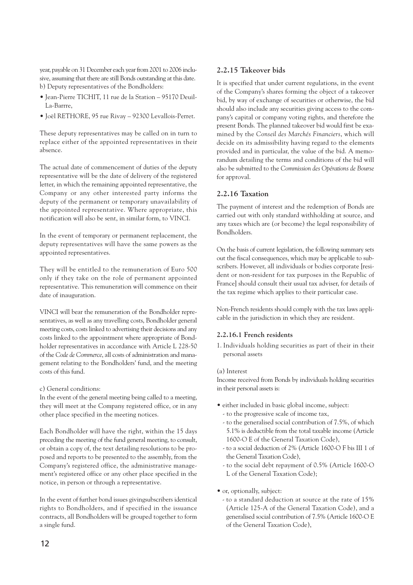year, payable on 31 December each year from 2001 to 2006 inclusive, assuming that there are still Bonds outstanding at this date. b) Deputy representatives of the Bondholders:

- Jean-Pierre TICHIT, 11 rue de la Station 95170 Deuil-La-Barrre,
- Joël RETHORE, 95 rue Rivay 92300 Levallois-Perret.

These deputy representatives may be called on in turn to replace either of the appointed representatives in their absence.

The actual date of commencement of duties of the deputy representative will be the date of delivery of the registered letter, in which the remaining appointed representative, the Company or any other interested party informs the deputy of the permanent or temporary unavailability of the appointed representative. Where appropriate, this notification will also be sent, in similar form, to VINCI.

In the event of temporary or permanent replacement, the deputy representatives will have the same powers as the appointed representatives.

They will be entitled to the remuneration of Euro 500 only if they take on the role of permanent appointed representative. This remuneration will commence on their date of inauguration.

VINCI will bear the remuneration of the Bondholder representatives, as well as any travelling costs, Bondholder general meeting costs, costs linked to advertising their decisions and any costs linked to the appointment where appropriate of Bondholder representatives in accordance with Article L 228-50 of the *Code de Commerce*, all costs of administration and management relating to the Bondholders' fund, and the meeting costs of this fund.

#### c) General conditions:

In the event of the general meeting being called to a meeting, they will meet at the Company registered office, or in any other place specified in the meeting notices.

Each Bondholder will have the right, within the 15 days preceding the meeting of the fund general meeting, to consult, or obtain a copy of, the text detailing resolutions to be proposed and reports to be presented to the assembly, from the Company's registered office, the administrative management's registered office or any other place specified in the notice, in person or through a representative.

In the event of further bond issues givingsubscribers identical rights to Bondholders, and if specified in the issuance contracts, all Bondholders will be grouped together to form a single fund.

#### **2.2.15 Takeover bids**

It is specified that under current regulations, in the event of the Company's shares forming the object of a takeover bid, by way of exchange of securities or otherwise, the bid should also include any securities giving access to the company's capital or company voting rights, and therefore the present Bonds. The planned takeover bid would first be examined by the *Conseil des Marchés Financiers*, which will decide on its admissibility having regard to the elements provided and in particular, the value of the bid. A memorandum detailing the terms and conditions of the bid will also be submitted to the *Commission des Opérations de Bourse* for approval.

#### **2.2.16 Taxation**

The payment of interest and the redemption of Bonds are carried out with only standard withholding at source, and any taxes which are (or become) the legal responsibility of Bondholders.

On the basis of current legislation, the following summary sets out the fiscal consequences, which may be applicable to subscribers. However, all individuals or bodies corporate [resident or non-resident for tax purposes in the Republic of France] should consult their usual tax adviser, for details of the tax regime which applies to their particular case.

Non-French residents should comply with the tax laws applicable in the jurisdiction in which they are resident.

#### **2.2.16.1 French residents**

1. Individuals holding securities as part of their in their personal assets

#### (a) Interest

Income received from Bonds by individuals holding securities in their personal assets is:

- either included in basic global income, subject:
	- to the progressive scale of income tax,
	- to the generalised social contribution of 7.5%, of which 5.1% is deductible from the total taxable income (Article 1600-O E of the General Taxation Code),
	- to a social deduction of 2% (Article 1600-O F bis III 1 of the General Taxation Code),
	- to the social debt repayment of 0.5% (Article 1600-O L of the General Taxation Code);
- or, optionally, subject:
	- to a standard deduction at source at the rate of 15% (Article 125-A of the General Taxation Code), and a generalised social contribution of 7.5% (Article 1600-O E of the General Taxation Code),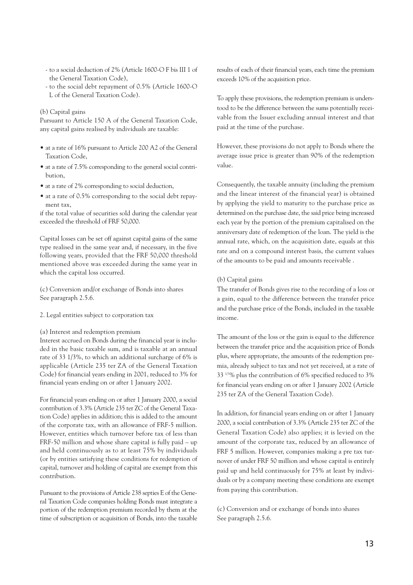- to a social deduction of 2% (Article 1600-O F bis III 1 of the General Taxation Code),
- to the social debt repayment of 0.5% (Article 1600-O L of the General Taxation Code).

#### (b) Capital gains

Pursuant to Article 150 A of the General Taxation Code, any capital gains realised by individuals are taxable:

- at a rate of 16% pursuant to Article 200 A2 of the General Taxation Code,
- at a rate of 7.5% corresponding to the general social contribution,
- at a rate of 2% corresponding to social deduction,
- at a rate of 0.5% corresponding to the social debt repayment tax,

if the total value of securities sold during the calendar year exceeded the threshold of FRF 50,000.

Capital losses can be set off against capital gains of the same type realised in the same year and, if necessary, in the five following years, provided that the FRF 50,000 threshold mentioned above was exceeded during the same year in which the capital loss occurred.

(c) Conversion and/or exchange of Bonds into shares See paragraph 2.5.6.

2. Legal entities subject to corporation tax

(a) Interest and redemption premium

Interest accrued on Bonds during the financial year is included in the basic taxable sum, and is taxable at an annual rate of 33 1/3%, to which an additional surcharge of 6% is applicable (Article 235 ter ZA of the General Taxation Code) for financial years ending in 2001, reduced to 3% for financial years ending on or after 1 January 2002.

For financial years ending on or after 1 January 2000, a social contribution of 3.3% (Article 235 ter ZC of the General Taxation Code) applies in addition; this is added to the amount of the corporate tax, with an allowance of FRF-5 million. However, entities which turnover before tax of less than FRF-50 million and whose share capital is fully paid – up and held continuously as to at least 75% by individuals (or by entities satisfying these conditions for redemption of capital, turnover and holding of capital are exempt from this contribution.

Pursuant to the provisions of Article 238 septies E of the General Taxation Code companies holding Bonds must integrate a portion of the redemption premium recorded by them at the time of subscription or acquisition of Bonds, into the taxable results of each of their financial years, each time the premium exceeds 10% of the acquisition price.

To apply these provisions, the redemption premium is understood to be the difference between the sums potentially receivable from the Issuer excluding annual interest and that paid at the time of the purchase.

However, these provisions do not apply to Bonds where the average issue price is greater than 90% of the redemption value.

Consequently, the taxable annuity (including the premium and the linear interest of the financial year) is obtained by applying the yield to maturity to the purchase price as determined on the purchase date, the said price being increased each year by the portion of the premium capitalised on the anniversary date of redemption of the loan. The yield is the annual rate, which, on the acquisition date, equals at this rate and on a compound interest basis, the current values of the amounts to be paid and amounts receivable .

#### (b) Capital gains

The transfer of Bonds gives rise to the recording of a loss or a gain, equal to the difference between the transfer price and the purchase price of the Bonds, included in the taxable income.

The amount of the loss or the gain is equal to the difference between the transfer price and the acquisition price of Bonds plus, where appropriate, the amounts of the redemption premia, already subject to tax and not yet received, at a rate of 33 1/3% plus the contribution of 6% specified reduced to 3% for financial years ending on or after 1 January 2002 (Article 235 ter ZA of the General Taxation Code).

In addition, for financial years ending on or after 1 January 2000, a social contribution of 3.3% (Article 235 ter ZC of the General Taxation Code) also applies; it is levied on the amount of the corporate tax, reduced by an allowance of FRF 5 million. However, companies making a pre tax turnover of under FRF 50 million and whose capital is entirely paid up and held continuously for 75% at least by individuals or by a company meeting these conditions are exempt from paying this contribution.

(c) Conversion and or exchange of bonds into shares See paragraph 2.5.6.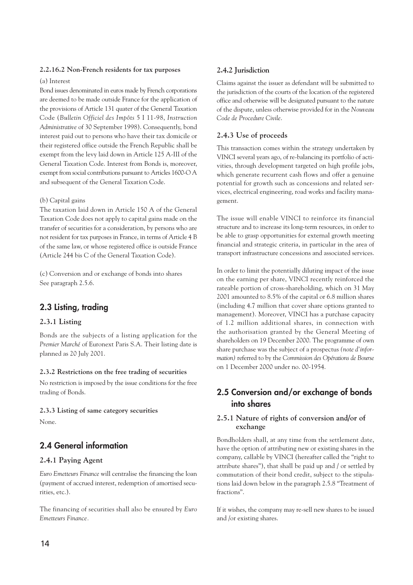#### **2.2.16.2 Non-French residents for tax purposes**

#### (a) Interest

Bond issues denominated in euros made by French corporations are deemed to be made outside France for the application of the provisions of Article 131 quater of the General Taxation Code (*Bulletin Officiel des Impôts* 5 I 11-98, *Instruction Administrative* of 30 September 1998). Consequently, bond interest paid out to persons who have their tax domicile or their registered office outside the French Republic shall be exempt from the levy laid down in Article 125 A-III of the General Taxation Code. Interest from Bonds is, moreover, exempt from social contributions pursuant to Articles 1600-O A and subsequent of the General Taxation Code.

#### (b) Capital gains

The taxation laid down in Article 150 A of the General Taxation Code does not apply to capital gains made on the transfer of securities for a consideration, by persons who are not resident for tax purposes in France, in terms of Article 4 B of the same law, or whose registered office is outside France (Article 244 bis C of the General Taxation Code).

(c) Conversion and or exchange of bonds into shares See paragraph 2.5.6.

#### **2.3 Listing, trading**

#### **2.3.1 Listing**

Bonds are the subjects of a listing application for the *Premier Marché* of Euronext Paris S.A. Their listing date is planned as 20 July 2001.

#### **2.3.2 Restrictions on the free trading of securities**

No restriction is imposed by the issue conditions for the free trading of Bonds.

#### **2.3.3 Listing of same category securities**

None.

### **2.4 General information**

#### **2.4.1 Paying Agent**

*Euro Emetteurs Finance* will centralise the financing the loan (payment of accrued interest, redemption of amortised securities, etc.).

The financing of securities shall also be ensured by *Euro Emetteurs Finance.*

#### **2.4.2 Jurisdiction**

Claims against the issuer as defendant will be submitted to the jurisdiction of the courts of the location of the registered office and otherwise will be designated pursuant to the nature of the dispute, unless otherwise provided for in the *Nouveau Code de Procedure Civile*.

#### **2.4.3 Use of proceeds**

This transaction comes within the strategy undertaken by VINCI several years ago, of re-balancing its portfolio of activities, through development targeted on high profile jobs, which generate recurrent cash flows and offer a genuine potential for growth such as concessions and related services, electrical engineering, road works and facility management.

The issue will enable VINCI to reinforce its financial structure and to increase its long-term resources, in order to be able to grasp opportunities for external growth meeting financial and strategic criteria, in particular in the area of transport infrastructure concessions and associated services.

In order to limit the potentially diluting impact of the issue on the earning per share, VINCI recently reinforced the rateable portion of cross-shareholding, which on 31 May 2001 amounted to 8.5% of the capital or 6.8 million shares (including 4.7 million that cover share options granted to management). Moreover, VINCI has a purchase capacity of 1.2 million additional shares, in connection with the authorisation granted by the General Meeting of shareholders on 19 December 2000. The programme of own share purchase was the subject of a prospectus *(note d'information)* referred to by the *Commission des Opérations de Bourse* on 1 December 2000 under no. 00-1954.

#### **2.5 Conversion and/or exchange of bonds into shares**

#### **2.5.1 Nature of rights of conversion and/or of exchange**

Bondholders shall, at any time from the settlement date, have the option of attributing new or existing shares in the company, callable by VINCI (hereafter called the "right to attribute shares"), that shall be paid up and / or settled by commutation of their bond credit, subject to the stipulations laid down below in the paragraph 2.5.8 "Treatment of fractions".

If it wishes, the company may re-sell new shares to be issued and /or existing shares.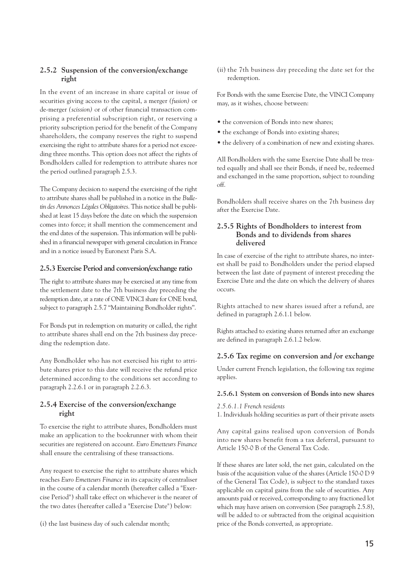#### **2.5.2 Suspension of the conversion/exchange right**

In the event of an increase in share capital or issue of securities giving access to the capital, a merger *(fusion)* or de-merger *(scission)* or of other financial transaction comprising a preferential subscription right, or reserving a priority subscription period for the benefit of the Company shareholders, the company reserves the right to suspend exercising the right to attribute shares for a period not exceeding three months. This option does not affect the rights of Bondholders called for redemption to attribute shares nor the period outlined paragraph 2.5.3.

The Company decision to suspend the exercising of the right to attribute shares shall be published in a notice in the *Bulletin des Annonces Légales Obligatoires*. This notice shall be published at least 15 days before the date on which the suspension comes into force; it shall mention the commencement and the end dates of the suspension. This information will be published in a financial newspaper with general circulation in France and in a notice issued by Euronext Paris S.A.

#### **2.5.3 Exercise Period and conversion/exchange ratio**

The right to attribute shares may be exercised at any time from the settlement date to the 7th business day preceding the redemption date, at a rate of ONE VINCI share for ONE bond, subject to paragraph 2.5.7 "Maintaining Bondholder rights".

For Bonds put in redemption on maturity or called, the right to attribute shares shall end on the 7th business day preceding the redemption date.

Any Bondholder who has not exercised his right to attribute shares prior to this date will receive the refund price determined according to the conditions set according to paragraph 2.2.6.1 or in paragraph 2.2.6.3.

#### **2.5.4 Exercise of the conversion/exchange right**

To exercise the right to attribute shares, Bondholders must make an application to the bookrunner with whom their securities are registered on account. *Euro Emetteurs Finance* shall ensure the centralising of these transactions.

Any request to exercise the right to attribute shares which reaches *Euro Emetteurs Finance* in its capacity of centraliser in the course of a calendar month (hereafter called a "Exercise Period") shall take effect on whichever is the nearer of the two dates (hereafter called a "Exercise Date") below:

(i) the last business day of such calendar month;

(ii) the 7th business day preceding the date set for the redemption.

For Bonds with the same Exercise Date, the VINCI Company may, as it wishes, choose between:

- the conversion of Bonds into new shares;
- the exchange of Bonds into existing shares;
- the delivery of a combination of new and existing shares.

All Bondholders with the same Exercise Date shall be treated equally and shall see their Bonds, if need be, redeemed and exchanged in the same proportion, subject to rounding off.

Bondholders shall receive shares on the 7th business day after the Exercise Date.

#### **2.5.5 Rights of Bondholders to interest from Bonds and to dividends from shares delivered**

In case of exercise of the right to attribute shares, no interest shall be paid to Bondholders under the period elapsed between the last date of payment of interest preceding the Exercise Date and the date on which the delivery of shares occurs.

Rights attached to new shares issued after a refund, are defined in paragraph 2.6.1.1 below.

Rights attached to existing shares returned after an exchange are defined in paragraph 2.6.1.2 below.

#### **2.5.6 Tax regime on conversion and /or exchange**

Under current French legislation, the following tax regime applies.

#### **2.5.6.1 System on conversion of Bonds into new shares**

#### *2.5.6.1.1 French residents*

1. Individuals holding securities as part of their private assets

Any capital gains realised upon conversion of Bonds into new shares benefit from a tax deferral, pursuant to Article 150-0 B of the General Tax Code.

If these shares are later sold, the net gain, calculated on the basis of the acquisition value of the shares (Article 150-0 D 9 of the General Tax Code), is subject to the standard taxes applicable on capital gains from the sale of securities. Any amounts paid or received, corresponding to any fractioned lot which may have arisen on conversion (See paragraph 2.5.8), will be added to or subtracted from the original acquisition price of the Bonds converted, as appropriate.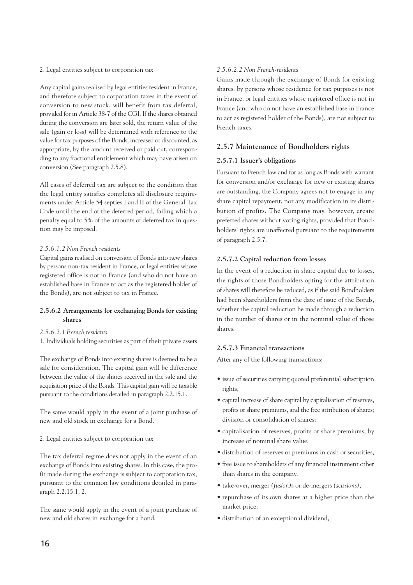#### 2. Legal entities subject to corporation tax

Any capital gains realised by legal entities resident in France, and therefore subject to corporation taxes in the event of conversion to new stock, will benefit from tax deferral, provided for in Article 38-7 of the CGI. If the shares obtained during the conversion are later sold, the return value of the sale (gain or loss) will be determined with reference to the value for tax purposes of the Bonds, increased or discounted, as appropriate, by the amount received or paid out, corresponding to any fractional entitlement which may have arisen on conversion (See paragraph 2.5.8).

All cases of deferred tax are subject to the condition that the legal entity satisfies completes all disclosure requirements under Article 54 septies I and II of the General Tax Code until the end of the deferred period, failing which a penalty equal to 5% of the amounts of deferred tax in question may be imposed.

#### *2.5.6.1.2 Non French residents*

Capital gains realised on conversion of Bonds into new shares by persons non-tax resident in France, or legal entities whose registered office is not in France (and who do not have an established base in France to act as the registered holder of the Bonds), are not subject to tax in France.

#### **2.5.6.2 Arrangements for exchanging Bonds for existing shares**

- *2.5.6.2.1 French residents*
- 1. Individuals holding securities as part of their private assets

The exchange of Bonds into existing shares is deemed to be a sale for consideration. The capital gain will be difference between the value of the shares received in the sale and the acquisition price of the Bonds. This capital gain will be taxable pursuant to the conditions detailed in paragraph 2.2.15.1.

The same would apply in the event of a joint purchase of new and old stock in exchange for a Bond.

#### 2. Legal entities subject to corporation tax

The tax deferral regime does not apply in the event of an exchange of Bonds into existing shares. In this case, the profit made during the exchange is subject to corporation tax, pursuant to the common law conditions detailed in paragraph 2.2.15.1, 2.

The same would apply in the event of a joint purchase of new and old shares in exchange for a bond.

#### *2.5.6.2.2 Non French-residents*

Gains made through the exchange of Bonds for existing shares, by persons whose residence for tax purposes is not in France, or legal entities whose registered office is not in France (and who do not have an established base in France to act as registered holder of the Bonds), are not subject to French taxes.

#### **2.5.7 Maintenance of Bondholders rights**

#### **2.5.7.1 Issuer's obligations**

Pursuant to French law and for as long as Bonds with warrant for conversion and/or exchange for new or existing shares are outstanding, the Company agrees not to engage in any share capital repayment, nor any modification in its distribution of profits. The Company may, however, create preferred shares without voting rights, provided that Bondholders' rights are unaffected pursuant to the requirements of paragraph 2.5.7.

#### **2.5.7.2 Capital reduction from losses**

In the event of a reduction in share capital due to losses, the rights of those Bondholders opting for the attribution of shares will therefore be reduced, as if the said Bondholders had been shareholders from the date of issue of the Bonds, whether the capital reduction be made through a reduction in the number of shares or in the nominal value of those shares.

#### **2.5.7.3 Financial transactions**

After any of the following transactions:

- issue of securities carrying quoted preferential subscription rights,
- capital increase of share capital by capitalisation of reserves, profits or share premiums, and the free attribution of shares; division or consolidation of shares;
- capitalisation of reserves, profits or share premiums, by increase of nominal share value,
- distribution of reserves or premiums in cash or securities,
- free issue to shareholders of any financial instrument other than shares in the company,
- take-over, merger *(fusion)*s or de-mergers *(scissions)*,
- repurchase of its own shares at a higher price than the market price,
- distribution of an exceptional dividend,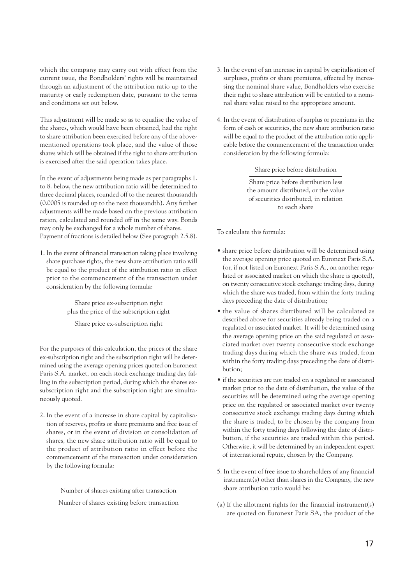which the company may carry out with effect from the current issue, the Bondholders' rights will be maintained through an adjustment of the attribution ratio up to the maturity or early redemption date, pursuant to the terms and conditions set out below.

This adjustment will be made so as to equalise the value of the shares, which would have been obtained, had the right to share attribution been exercised before any of the abovementioned operations took place, and the value of those shares which will be obtained if the right to share attribution is exercised after the said operation takes place.

In the event of adjustments being made as per paragraphs 1. to 8. below, the new attribution ratio will be determined to three decimal places, rounded off to the nearest thousandth (0.0005 is rounded up to the next thousandth). Any further adjustments will be made based on the previous attribution ration, calculated and rounded off in the same way. Bonds may only be exchanged for a whole number of shares. Payment of fractions is detailed below (See paragraph 2.5.8).

1. In the event of financial transaction taking place involving share purchase rights, the new share attribution ratio will be equal to the product of the attribution ratio in effect prior to the commencement of the transaction under consideration by the following formula:

> Share price ex-subscription right plus the price of the subscription right

Share price ex-subscription right

For the purposes of this calculation, the prices of the share ex-subscription right and the subscription right will be determined using the average opening prices quoted on Euronext Paris S.A. market, on each stock exchange trading day falling in the subscription period, during which the shares exsubscription right and the subscription right are simultaneously quoted.

2. In the event of a increase in share capital by capitalisation of reserves, profits or share premiums and free issue of shares, or in the event of division or consolidation of shares, the new share attribution ratio will be equal to the product of attribution ratio in effect before the commencement of the transaction under consideration by the following formula:

Number of shares existing after transaction

Number of shares existing before transaction

- 3. In the event of an increase in capital by capitalisation of surpluses, profits or share premiums, effected by increasing the nominal share value, Bondholders who exercise their right to share attribution will be entitled to a nominal share value raised to the appropriate amount.
- 4. In the event of distribution of surplus or premiums in the form of cash or securities, the new share attribution ratio will be equal to the product of the attribution ratio applicable before the commencement of the transaction under consideration by the following formula:

Share price before distribution

Share price before distribution less the amount distributed, or the value of securities distributed, in relation to each share

To calculate this formula:

- share price before distribution will be determined using the average opening price quoted on Euronext Paris S.A. (or, if not listed on Euronext Paris S.A., on another regulated or associated market on which the share is quoted), on twenty consecutive stock exchange trading days, during which the share was traded, from within the forty trading days preceding the date of distribution;
- the value of shares distributed will be calculated as described above for securities already being traded on a regulated or associated market. It will be determined using the average opening price on the said regulated or associated market over twenty consecutive stock exchange trading days during which the share was traded, from within the forty trading days preceding the date of distribution;
- if the securities are not traded on a regulated or associated market prior to the date of distribution, the value of the securities will be determined using the average opening price on the regulated or associated market over twenty consecutive stock exchange trading days during which the share is traded, to be chosen by the company from within the forty trading days following the date of distribution, if the securities are traded within this period. Otherwise, it will be determined by an independent expert of international repute, chosen by the Company.
- 5. In the event of free issue to shareholders of any financial instrument(s) other than shares in the Company, the new share attribution ratio would be:
- (a) If the allotment rights for the financial instrument(s) are quoted on Euronext Paris SA, the product of the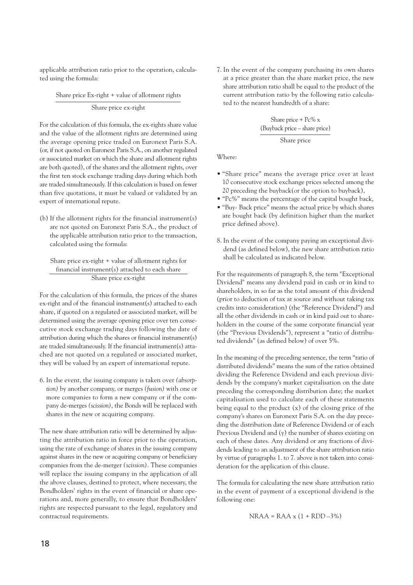applicable attribution ratio prior to the operation, calculated using the formula:

Share price Ex-right + value of allotment rights

Share price ex-right

For the calculation of this formula, the ex-rights share value and the value of the allotment rights are determined using the average opening price traded on Euronext Paris S.A. (or, if not quoted on Euronext Paris S.A., on another regulated or associated market on which the share and allotment rights are both quoted), of the shares and the allotment rights, over the first ten stock exchange trading days during which both are traded simultaneously. If this calculation is based on fewer than five quotations, it must be valued or validated by an expert of international repute.

(b) If the allotment rights for the financial instrument(s) are not quoted on Euronext Paris S.A., the product of the applicable attribution ratio prior to the transaction, calculated using the formula:

Share price ex-right + value of allotment rights for financial instrument(s) attached to each share Share price ex-right

For the calculation of this formula, the prices of the shares ex-right and of the financial instrument(s) attached to each share, if quoted on a regulated or associated market, will be determined using the average opening price over ten consecutive stock exchange trading days following the date of attribution during which the shares or financial instrument(s) are traded simultaneously. If the financial instrument(s) attached are not quoted on a regulated or associated market, they will be valued by an expert of international repute.

6. In the event, the issuing company is taken over *(absorption)* by another company, or merges *(fusion)* with one or more companies to form a new company or if the company de-merges *(scission)*, the Bonds will be replaced with shares in the new or acquiring company.

The new share attribution ratio will be determined by adjusting the attribution ratio in force prior to the operation, using the rate of exchange of shares in the issuing company against shares in the new or acquiring company or beneficiary companies from the de-merger *(scission)*. These companies will replace the issuing company in the application of all the above clauses, destined to protect, where necessary, the Bondholders' rights in the event of financial or share operations and, more generally, to ensure that Bondholders' rights are respected pursuant to the legal, regulatory and contractual requirements.

7. In the event of the company purchasing its own shares at a price greater than the share market price, the new share attribution ratio shall be equal to the product of the current attribution ratio by the following ratio calculated to the nearest hundredth of a share:

Share price + Pc% x (Buyback price – share price) Share price

Where:

- "Share price" means the average price over at least 10 consecutive stock exchange prices selected among the 20 preceding the buyback(or the option to buyback),
- "Pc%" means the percentage of the capital bought back,
- "Buy- Back price" means the actual price by which shares are bought back (by definition higher than the market price defined above).
- 8. In the event of the company paying an exceptional dividend (as defined below), the new share attribution ratio shall be calculated as indicated below.

For the requirements of paragraph 8, the term "Exceptional Dividend" means any dividend paid in cash or in kind to shareholders, in so far as the total amount of this dividend (prior to deduction of tax at source and without taking tax credits into consideration) (the "Reference Dividend") and all the other dividends in cash or in kind paid out to shareholders in the course of the same corporate financial year (the "Previous Dividends"), represent a "ratio of distributed dividends" (as defined below) of over 5%.

In the meaning of the preceding sentence, the term "ratio of distributed dividends" means the sum of the ratios obtained dividing the Reference Dividend and each previous dividends by the company's market capitalisation on the date preceding the corresponding distribution date; the market capitalisation used to calculate each of these statements being equal to the product (x) of the closing price of the company's shares on Euronext Paris S.A. on the day preceding the distribution date of Reference Dividend or of each Previous Dividend and (y) the number of shares existing on each of these dates. Any dividend or any fractions of dividends leading to an adjustment of the share attribution ratio by virtue of paragraphs 1. to 7. above is not taken into consideration for the application of this clause.

The formula for calculating the new share attribution ratio in the event of payment of a exceptional dividend is the following one:

 $NRAA = RAA \times (1 + RDD - 3\%)$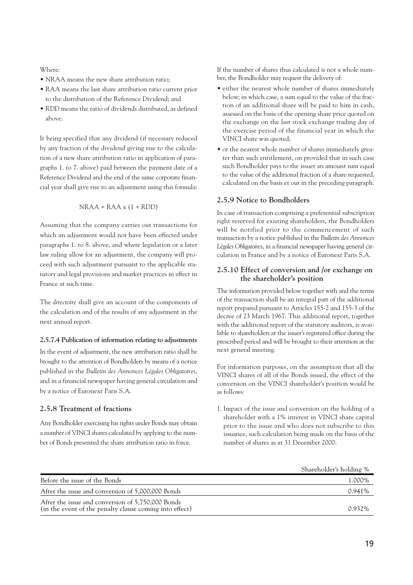Where:

- NRAA means the new share attribution ratio;
- RAA means the last share attribution ratio current prior to the distribution of the Reference Dividend; and
- RDD means the ratio of dividends distributed, as defined above.

It being specified that any dividend (if necessary reduced by any fraction of the dividend giving rise to the calculation of a new share attribution ratio in application of paragraphs 1. to 7. above) paid between the payment date of a Reference Dividend and the end of the same corporate financial year shall give rise to an adjustment using this formula:

$$
NRAA = RAA \times (1 + RDD)
$$

Assuming that the company carries out transactions for which an adjustment would not have been effected under paragraphs 1. to 8. above, and where legislation or a later law ruling allow for an adjustment, the company will proceed with such adjustment pursuant to the applicable statutory and legal provisions and market practices in effect in France at such time.

The *directoire* shall give an account of the components of the calculation and of the results of any adjustment in the next annual report.

#### **2.5.7.4 Publication of information relating to adjustments**

In the event of adjustment, the new attribution ratio shall be brought to the attention of Bondholders by means of a notice published in the *Bulletin des Annonces Légales Obligatoires*, and in a financial newspaper having general circulation and by a notice of Euronext Paris S.A.

#### **2.5.8 Treatment of fractions**

Any Bondholder exercising his rights under Bonds may obtain a number of VINCI shares calculated by applying to the number of Bonds presented the share attribution ratio in force.

If the number of shares thus calculated is not a whole number, the Bondholder may request the delivery of:

- either the nearest whole number of shares immediately below; in which case, a sum equal to the value of the fraction of an additional share will be paid to him in cash, assessed on the basis of the opening share price quoted on the exchange on the last stock exchange trading day of the exercise period of the financial year in which the VINCI share was quoted;
- or the nearest whole number of shares immediately greater than such entitlement, on provided that in such case such Bondholder pays to the issuer an amount sum equal to the value of the additional fraction of a share requested, calculated on the basis et out in the preceding paragraph.

#### **2.5.9 Notice to Bondholders**

In case of transaction comprising a preferential subscription right reserved for existing shareholders, the Bondholders will be notified prior to the commencement of such transaction by a notice published in the *Bulletin des Annonces Légales Obligatoires*, in a financial newspaper having general circulation in France and by a notice of Euronext Paris S.A.

#### **2.5.10 Effect of conversion and /or exchange on the shareholder's position**

The information provided below together with and the terms of the transaction shall be an integral part of the additional report prepared pursuant to Articles 155-2 and 155-3 of the decree of 23 March 1967. This additional report, together with the additional report of the statutory auditors, is available to shareholders at the issuer's registered office during the prescribed period and will be brought to their attention at the next general meeting.

For information purposes, on the assumption that all the VINCI shares of all of the Bonds issued, the effect of the conversion on the VINCI shareholder's position would be as follows:

1. Impact of the issue and conversion on the holding of a shareholder with a 1% interest in VINCI share capital prior to the issue and who does not subscribe to this issuance, such calculation being made on the basis of the number of shares as at 31 December 2000:

|                                                                                                              | Shareholder's holding % |
|--------------------------------------------------------------------------------------------------------------|-------------------------|
| Before the issue of the Bonds                                                                                | 1.000%                  |
| After the issue and conversion of 5,000,000 Bonds                                                            | 0.941%                  |
| After the issue and conversion of 5,750,000 Bonds<br>(in the event of the penalty clause coming into effect) | 0.932%                  |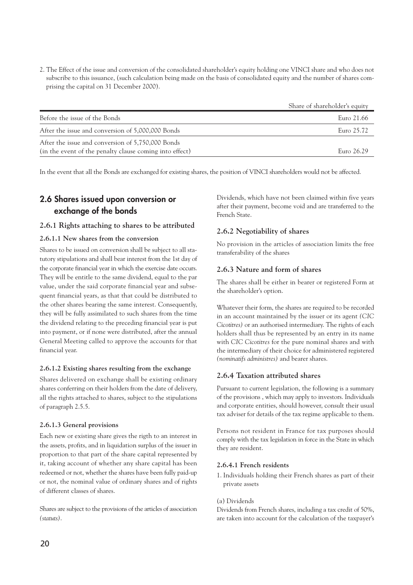2. The Effect of the issue and conversion of the consolidated shareholder's equity holding one VINCI share and who does not subscribe to this issuance, (such calculation being made on the basis of consolidated equity and the number of shares comprising the capital on 31 December 2000).

|                                                                                                              | Share of shareholder's equity |
|--------------------------------------------------------------------------------------------------------------|-------------------------------|
| Before the issue of the Bonds                                                                                | Euro 21.66                    |
| After the issue and conversion of 5,000,000 Bonds                                                            | Euro 25.72                    |
| After the issue and conversion of 5,750,000 Bonds<br>(in the event of the penalty clause coming into effect) | Euro 26.29                    |

In the event that all the Bonds are exchanged for existing shares, the position of VINCI shareholders would not be affected.

#### **2.6 Shares issued upon conversion or exchange of the bonds**

#### **2.6.1 Rights attaching to shares to be attributed**

#### **2.6.1.1 New shares from the conversion**

Shares to be issued on conversion shall be subject to all statutory stipulations and shall bear interest from the 1st day of the corporate financial year in which the exercise date occurs. They will be entitle to the same dividend, equal to the par value, under the said corporate financial year and subsequent financial years, as that that could be distributed to the other shares bearing the same interest. Consequently, they will be fully assimilated to such shares from the time the dividend relating to the preceding financial year is put into payment, or if none were distributed, after the annual General Meeting called to approve the accounts for that financial year.

#### **2.6.1.2 Existing shares resulting from the exchange**

Shares delivered on exchange shall be existing ordinary shares conferring on their holders from the date of delivery, all the rights attached to shares, subject to the stipulations of paragraph 2.5.5.

#### **2.6.1.3 General provisions**

Each new or existing share gives the rigth to an interest in the assets, profits, and in liquidation surplus of the issuer in proportion to that part of the share capital represented by it, taking account of whether any share capital has been redeemed or not, whether the shares have been fully paid-up or not, the nominal value of ordinary shares and of rights of different classes of shares.

Shares are subject to the provisions of the articles of association *(statuts)*.

Dividends, which have not been claimed within five years after their payment, become void and are transferred to the French State.

#### **2.6.2 Negotiability of shares**

No provision in the articles of association limits the free transferability of the shares

#### **2.6.3 Nature and form of shares**

The shares shall be either in bearer or registered Form at the shareholder's option.

Whatever their form, the shares are required to be recorded in an account maintained by the issuer or its agent *(CIC Cicotitres)* or an authorised intermediary. The rights of each holders shall thus be represented by an entry in its name with *CIC Cicotitres* for the pure nominal shares and with the intermediary of their choice for administered registered *(nominatifs administres)* and bearer shares.

#### **2.6.4 Taxation attributed shares**

Pursuant to current legislation, the following is a summary of the provisions , which may apply to investors. Individuals and corporate entities, should however, consult their usual tax adviser for details of the tax regime applicable to them.

Persons not resident in France for tax purposes should comply with the tax legislation in force in the State in which they are resident.

#### **2.6.4.1 French residents**

1. Individuals holding their French shares as part of their private assets

#### (a) Dividends

Dividends from French shares, including a tax credit of 50%, are taken into account for the calculation of the taxpayer's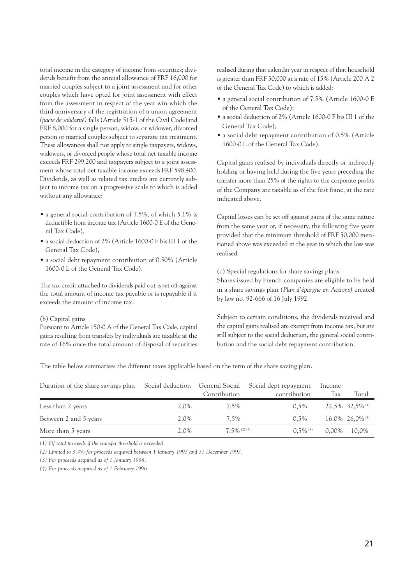total income in the category of income from securities; dividends benefit from the annual allowance of FRF 16,000 for married couples subject to a joint assessment and for other couples which have opted for joint assessment with effect from the assessment in respect of the year win which the third anniversary of the registration of a union agreement *(pacte de solidarité)* falls (Article 515-1 of the Civil Code)and FRF 8,000 for a single person, widow, or widower, divorced person or married couples subject to separate tax treatment. These allowances shall not apply to single taxpayers, widows, widowers, or divorced people whose total net taxable income exceeds FRF 299,200 and taxpayers subject to a joint assessment whose total net taxable income exceeds FRF 598,400. Dividends, as well as related tax credits are currently subject to income tax on a progressive scale to which is added without any allowance:

- a general social contribution of 7.5%, of which 5.1% is deductible from income tax (Article 1600-0 E of the General Tax Code),
- a social deduction of 2% (Article 1600-0 F bis III 1 of the General Tax Code),
- a social debt repayment contribution of 0.50% (Article 1600-0 L of the General Tax Code).

The tax credit attached to dividends paid out is set off against the total amount of income tax payable or is repayable if it exceeds the amount of income tax.

#### (b) Capital gains

Pursuant to Article 150-0 A of the General Tax Code, capital gains resulting from transfers by individuals are taxable at the rate of 16% once the total amount of disposal of securities

realised during that calendar year in respect of that household is greater than FRF 50,000 at a rate of 15% (Article 200 A 2 of the General Tax Code) to which is added:

- a general social contribution of 7.5% (Article 1600-0 E of the General Tax Code);
- a social deduction of 2% (Article 1600-0 F bis III 1 of the General Tax Code);
- a social debt repayment contribution of 0.5% (Article 1600-0 L of the General Tax Code).

Capital gains realised by individuals directly or indirectly holding or having held during the five years preceding the transfer more than 25% of the rights to the corporate profits of the Company are taxable as of the first franc, at the rate indicated above.

Capital losses can be set off against gains of the same nature from the same year or, if necessary, the following five years provided that the minimum threshold of FRF 50,000 mentioned above was exceeded in the year in which the loss was realised.

(c) Special regulations for share savings plans Shares issued by French companies are eligible to be held in a share savings plan *(Plan d'épargne en Actions)* created by law no. 92-666 of 16 July 1992.

Subject to certain conditions, the dividends received and the capital gains realised are exempt from income tax, but are still subject to the social deduction, the general social contribution and the social debt repayment contribution.

The table below summarises the different taxes applicable based on the term of the share saving plan.

| Duration of the share savings plan |      | Contribution    | Social deduction General Social Social dept repayment<br>contribution | Income<br>Tax | Total                         |
|------------------------------------|------|-----------------|-----------------------------------------------------------------------|---------------|-------------------------------|
| Less than 2 years                  | 2.0% | 7.5%            | $0.5\%$                                                               |               | 22,5% 32,5% (1)               |
| Between 2 and 5 years              | 2.0% | 7.5%            | $0.5\%$                                                               |               | $16,0\%$ 26,0% <sup>(1)</sup> |
| More than 5 years                  | 2.0% | $7.5\%$ (2) (3) | $0.5\%$ (4)                                                           | 0.00%         | 10.0%                         |

*(1) Of total proceeds if the transfer threshold is exceeded.*

*(2) Limited to 3.4% for proceeds acquired between 1 January 1997 and 31 December 1997.*

*(3) For proceeds acquired as of 1 January 1998.*

*(4) For proceeds acquired as of 1 February 1996.*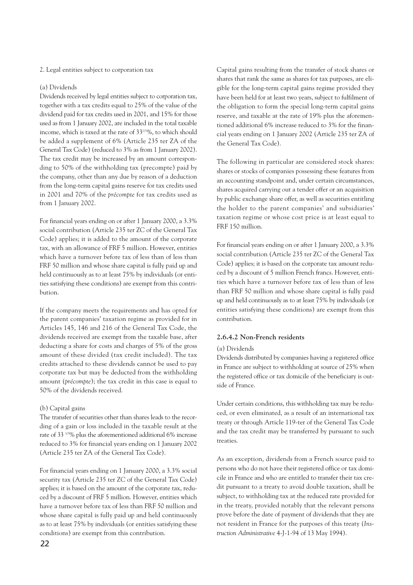#### 2. Legal entities subject to corporation tax

#### (a) Dividends

Dividends received by legal entities subject to corporation tax, together with a tax credits equal to 25% of the value of the dividend paid for tax credits used in 2001, and 15% for those used as from 1 January 2002, are included in the total taxable income, which is taxed at the rate of 331/3%, to which should be added a supplement of 6% (Article 235 ter ZA of the General Tax Code) (reduced to 3% as from 1 January 2002). The tax credit may be increased by an amount corresponding to 50% of the withholding tax (precompte) paid by the company, other than any due by reason of a deduction from the long-term capital gains reserve for tax credits used in 2001 and 70% of the *précompte* for tax credits used as from 1 January 2002.

For financial years ending on or after 1 January 2000, a 3.3% social contribution (Article 235 ter ZC of the General Tax Code) applies; it is added to the amount of the corporate tax, with an allowance of FRF 5 million. However, entities which have a turnover before tax of less than of less than FRF 50 million and whose share capital is fully paid up and held continuously as to at least 75% by individuals (or entities satisfying these conditions) are exempt from this contribution.

If the company meets the requirements and has opted for the parent companies' taxation regime as provided for in Articles 145, 146 and 216 of the General Tax Code, the dividends received are exempt from the taxable base, after deducting a share for costs and charges of 5% of the gross amount of these divided (tax credit included). The tax credits attached to these dividends cannot be used to pay corporate tax but may be deducted from the withholding amount (*précompte*); the tax credit in this case is equal to 50% of the dividends received.

#### (b) Capital gains

The transfer of securities other than shares leads to the recording of a gain or loss included in the taxable result at the rate of 33 1/3% plus the aforementioned additional 6% increase reduced to 3% for financial years ending on 1 January 2002 (Article 235 ter ZA of the General Tax Code).

For financial years ending on 1 January 2000, a 3.3% social security tax (Article 235 ter ZC of the General Tax Code) applies; it is based on the amount of the corporate tax, reduced by a discount of FRF 5 million. However, entities which have a turnover before tax of less than FRF 50 million and whose share capital is fully paid up and held continuously as to at least 75% by individuals (or entities satisfying these conditions) are exempt from this contribution.

Capital gains resulting from the transfer of stock shares or shares that rank the same as shares for tax purposes, are eligible for the long-term capital gains regime provided they have been held for at least two years, subject to fulfilment of the obligation to form the special long-term capital gains reserve, and taxable at the rate of 19% plus the aforementioned additional 6% increase reduced to 3% for the financial years ending on 1 January 2002 (Article 235 ter ZA of the General Tax Code).

The following in particular are considered stock shares: shares or stocks of companies possessing these features from an accounting standpoint and, under certain circumstances, shares acquired carrying out a tender offer or an acquisition by public exchange share offer, as well as securities entitling the holder to the parent companies' and subsidiaries' taxation regime or whose cost price is at least equal to FRF 150 million.

For financial years ending on or after 1 January 2000, a 3.3% social contribution (Article 235 ter ZC of the General Tax Code) applies; it is based on the corporate tax amount reduced by a discount of 5 million French francs. However, entities which have a turnover before tax of less than of less than FRF 50 million and whose share capital is fully paid up and held continuously as to at least 75% by individuals (or entities satisfying these conditions) are exempt from this contribution.

#### **2.6.4.2 Non-French residents**

#### (a) Dividends

Dividends distributed by companies having a registered office in France are subject to withholding at source of 25% when the registered office or tax domicile of the beneficiary is outside of France.

Under certain conditions, this withholding tax may be reduced, or even eliminated, as a result of an international tax treaty or through Article 119-ter of the General Tax Code and the tax credit may be transferred by pursuant to such treaties.

As an exception, dividends from a French source paid to persons who do not have their registered office or tax domicile in France and who are entitled to transfer their tax credit pursuant to a treaty to avoid double taxation, shall be subject, to withholding tax at the reduced rate provided for in the treaty, provided notably that the relevant persons prove before the date of payment of dividends that they are not resident in France for the purposes of this treaty (*Instruction Administrative* 4-J-1-94 of 13 May 1994).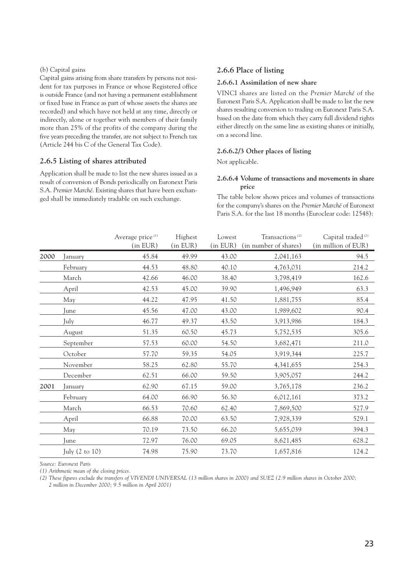#### (b) Capital gains

Capital gains arising from share transfers by persons not resident for tax purposes in France or whose Registered office is outside France (and not having a permanent establishment or fixed base in France as part of whose assets the shares are recorded) and which have not held at any time, directly or indirectly, alone or together with members of their family more than 25% of the profits of the company during the five years preceding the transfer, are not subject to French tax (Article 244 bis C of the General Tax Code).

#### **2.6.5 Listing of shares attributed**

Application shall be made to list the new shares issued as a result of conversion of Bonds periodically on Euronext Paris S.A. *Premier Marché*. Existing shares that have been exchanged shall be immediately tradable on such exchange.

#### **2.6.6 Place of listing**

#### **2.6.6.1 Assimilation of new share**

VINCI shares are listed on the *Premier Marché* of the Euronext Paris S.A. Application shall be made to list the new shares resulting conversion to trading on Euronext Paris S.A. based on the date from which they carry full dividend rights either directly on the same line as existing shares or initially, on a second line.

#### **2.6.6.2/3 Other places of listing**

Not applicable.

#### **2.6.6.4 Volume of transactions and movements in share price**

The table below shows prices and volumes of transactions for the company's shares on the *Premier Marché* of Euronext Paris S.A. for the last 18 months (Euroclear code: 12548):

|      |                | Average price <sup>(1)</sup><br>(in EUR) | Highest<br>(in EUR) | Lowest | Transactions <sup>(2)</sup><br>(in EUR) (in number of shares) | Capital traded <sup>(2)</sup><br>(in million of EUR) |
|------|----------------|------------------------------------------|---------------------|--------|---------------------------------------------------------------|------------------------------------------------------|
| 2000 | January        | 45.84                                    | 49.99               | 43.00  | 2,041,163                                                     | 94.5                                                 |
|      | February       | 44.53                                    | 48.80               | 40.10  | 4,763,031                                                     | 214.2                                                |
|      | March          | 42.66                                    | 46.00               | 38.40  | 3,798,419                                                     | 162.6                                                |
|      | April          | 42.53                                    | 45.00               | 39.90  | 1,496,949                                                     | 63.3                                                 |
|      | May            | 44.22                                    | 47.95               | 41.50  | 1,881,755                                                     | 85.4                                                 |
|      | June           | 45.56                                    | 47.00               | 43.00  | 1,989,602                                                     | 90.4                                                 |
|      | July           | 46.77                                    | 49.37               | 43.50  | 3,913,986                                                     | 184.3                                                |
|      | August         | 51.35                                    | 60.50               | 45.73  | 5,752,535                                                     | 305.6                                                |
|      | September      | 57.53                                    | 60.00               | 54.50  | 3,682,471                                                     | 211.0                                                |
|      | October        | 57.70                                    | 59.35               | 54.05  | 3,919,344                                                     | 225.7                                                |
|      | November       | 58.25                                    | 62.80               | 55.70  | 4,341,655                                                     | 254.3                                                |
|      | December       | 62.51                                    | 66.00               | 59.50  | 3,905,057                                                     | 244.2                                                |
| 2001 | January        | 62.90                                    | 67.15               | 59.00  | 3,765,178                                                     | 236.2                                                |
|      | February       | 64.00                                    | 66.90               | 56.30  | 6,012,161                                                     | 373.2                                                |
|      | March          | 66.53                                    | 70.60               | 62.40  | 7,869,500                                                     | 527.9                                                |
|      | April          | 66.88                                    | 70.00               | 63.50  | 7,928,339                                                     | 529.1                                                |
|      | May            | 70.19                                    | 73.50               | 66.20  | 5,655,039                                                     | 394.3                                                |
|      | June           | 72.97                                    | 76.00               | 69.05  | 8,621,485                                                     | 628.2                                                |
|      | July (2 to 10) | 74.98                                    | 75.90               | 73.70  | 1,657,816                                                     | 124.2                                                |

*Source: Euronext Paris*

*(1) Arithmetic mean of the closing prices.*

*(2) These figures exclude the transfers of VIVENDI UNIVERSAL (13 million shares in 2000) and SUEZ (2.9 million shares in October 2000;*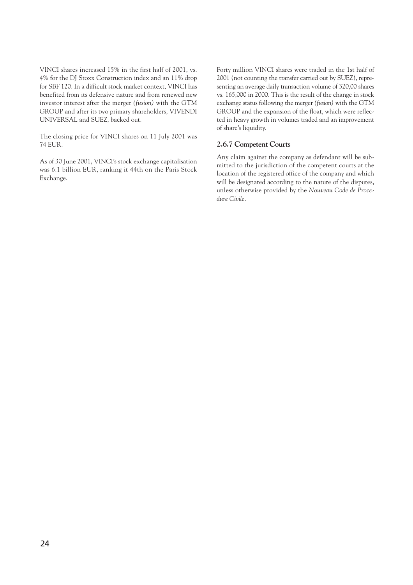VINCI shares increased 15% in the first half of 2001, vs. 4% for the DJ Stoxx Construction index and an 11% drop for SBF 120. In a difficult stock market context, VINCI has benefited from its defensive nature and from renewed new investor interest after the merger *(fusion)* with the GTM GROUP and after its two primary shareholders, VIVENDI UNIVERSAL and SUEZ, backed out.

The closing price for VINCI shares on 11 July 2001 was 74 EUR.

As of 30 June 2001, VINCI's stock exchange capitalisation was 6.1 billion EUR, ranking it 44th on the Paris Stock Exchange.

Forty million VINCI shares were traded in the 1st half of 2001 (not counting the transfer carried out by SUEZ), representing an average daily transaction volume of 320,00 shares vs. 165,000 in 2000. This is the result of the change in stock exchange status following the merger *(fusion)* with the GTM GROUP and the expansion of the float, which were reflected in heavy growth in volumes traded and an improvement of share's liquidity.

#### **2.6.7 Competent Courts**

Any claim against the company as defendant will be submitted to the jurisdiction of the competent courts at the location of the registered office of the company and which will be designated according to the nature of the disputes, unless otherwise provided by the *Nouveau Code de Procedure Civile.*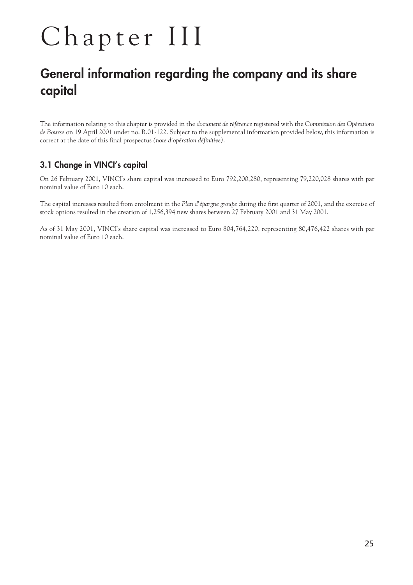# Chapter III

## **General information regarding the company and its share capital**

The information relating to this chapter is provided in the *document de référence* registered with the *Commission des Opérations de Bourse* on 19 April 2001 under no. R.01-122. Subject to the supplemental information provided below, this information is correct at the date of this final prospectus *(note d'opération définitive)*.

#### **3.1 Change in VINCI's capital**

On 26 February 2001, VINCI's share capital was increased to Euro 792,200,280, representing 79,220,028 shares with par nominal value of Euro 10 each.

The capital increases resulted from enrolment in the *Plan d'épargne groupe* during the first quarter of 2001, and the exercise of stock options resulted in the creation of 1,256,394 new shares between 27 February 2001 and 31 May 2001.

As of 31 May 2001, VINCI's share capital was increased to Euro 804,764,220, representing 80,476,422 shares with par nominal value of Euro 10 each.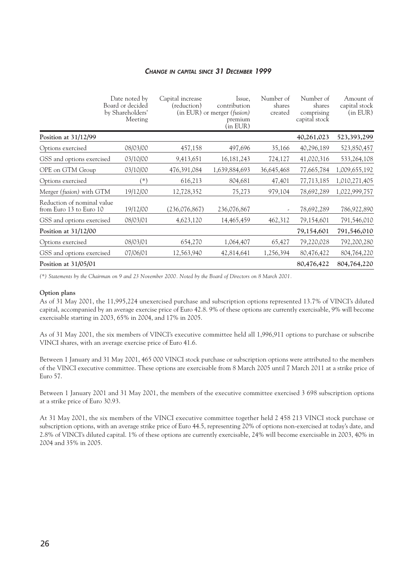#### *CHANGE IN CAPITAL SINCE 31 DECEMBER 1999*

|                                                       | Date noted by<br>Board or decided<br>by Shareholders'<br>Meeting | Capital increase<br>(reduction) | Issue,<br>contribution<br>(in EUR) or merger (fusion)<br>premium<br>(in EUR) | Number of<br>shares<br>created | Number of<br>shares<br>comprising<br>capital stock | Amount of<br>capital stock<br>(in EUR) |
|-------------------------------------------------------|------------------------------------------------------------------|---------------------------------|------------------------------------------------------------------------------|--------------------------------|----------------------------------------------------|----------------------------------------|
| Position at $31/12/99$                                |                                                                  |                                 |                                                                              |                                | 40,261,023                                         | 523,393,299                            |
| Options exercised                                     | 08/03/00                                                         | 457,158                         | 497,696                                                                      | 35,166                         | 40,296,189                                         | 523,850,457                            |
| GSS and options exercised                             | 03/10/00                                                         | 9,413,651                       | 16, 181, 243                                                                 | 724,127                        | 41,020,316                                         | 533,264,108                            |
| OPE on GTM Group                                      | 03/10/00                                                         | 476,391,084                     | 1,639,884,693                                                                | 36,645,468                     | 77,665,784                                         | 1,009,655,192                          |
| Options exercised                                     | $(\ast)$                                                         | 616,213                         | 804,681                                                                      | 47,401                         | 77,713,185                                         | 1,010,271,405                          |
| Merger (fusion) with GTM                              | 19/12/00                                                         | 12,728,352                      | 75,273                                                                       | 979,104                        | 78,692,289                                         | 1,022,999,757                          |
| Reduction of nominal value<br>from Euro 13 to Euro 10 | 19/12/00                                                         | (236,076,867)                   | 236,076,867                                                                  | $\overline{a}$                 | 78,692,289                                         | 786,922,890                            |
| GSS and options exercised                             | 08/03/01                                                         | 4,623,120                       | 14,465,459                                                                   | 462,312                        | 79,154,601                                         | 791,546,010                            |
| Position at $31/12/00$                                |                                                                  |                                 |                                                                              |                                | 79,154,601                                         | 791,546,010                            |
| Options exercised                                     | 08/03/01                                                         | 654,270                         | 1,064,407                                                                    | 65,427                         | 79,220,028                                         | 792,200,280                            |
| GSS and options exercised                             | 07/06/01                                                         | 12,563,940                      | 42,814,641                                                                   | 1,256,394                      | 80,476,422                                         | 804,764,220                            |
| Position at $31/05/01$                                |                                                                  |                                 |                                                                              |                                | 80,476,422                                         | 804,764,220                            |

*(\*) Statements by the Chairman on 9 and 23 November 2000. Noted by the Board of Directors on 8 March 2001.*

#### **Option plans**

As of 31 May 2001, the 11,995,224 unexercised purchase and subscription options represented 13.7% of VINCI's diluted capital, accompanied by an average exercise price of Euro 42.8. 9% of these options are currently exercisable, 9% will become exercisable starting in 2003, 65% in 2004, and 17% in 2005.

As of 31 May 2001, the six members of VINCI's executive committee held all 1,996,911 options to purchase or subscribe VINCI shares, with an average exercise price of Euro 41.6.

Between 1 January and 31 May 2001, 465 000 VINCI stock purchase or subscription options were attributed to the members of the VINCI executive committee. These options are exercisable from 8 March 2005 until 7 March 2011 at a strike price of Euro 57.

Between 1 January 2001 and 31 May 2001, the members of the executive committee exercised 3 698 subscription options at a strike price of Euro 30.93.

At 31 May 2001, the six members of the VINCI executive committee together held 2 458 213 VINCI stock purchase or subscription options, with an average strike price of Euro 44.5, representing 20% of options non-exercised at today's date, and 2.8% of VINCI's diluted capital. 1% of these options are currently exercisable, 24% will become exercisable in 2003, 40% in 2004 and 35% in 2005.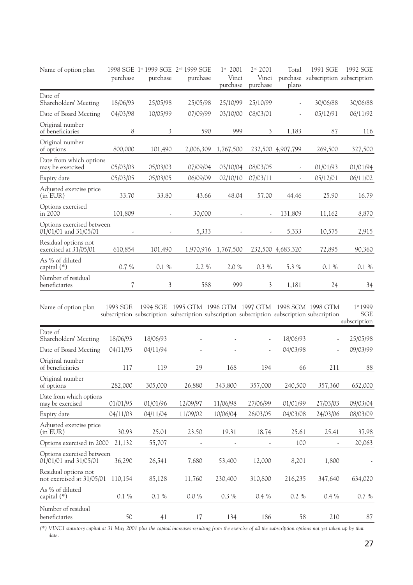| Name of option plan                                | purchase                 | purchase | 1998 SGE 1st 1999 SGE 2nd 1999 SGE<br>purchase                                                                                                      | $1^{st}$ 2001<br>Vinci<br>purchase | 2 <sup>nd</sup> 2001<br>Vinci<br>purchase | Total<br>plans           | 1991 SGE<br>purchase subscription subscription | 1992 SGE                               |
|----------------------------------------------------|--------------------------|----------|-----------------------------------------------------------------------------------------------------------------------------------------------------|------------------------------------|-------------------------------------------|--------------------------|------------------------------------------------|----------------------------------------|
| Date of<br>Shareholders' Meeting                   | 18/06/93                 | 25/05/98 | 25/05/98                                                                                                                                            | 25/10/99                           | 25/10/99                                  | $\overline{\phantom{a}}$ | 30/06/88                                       | 30/06/88                               |
| Date of Board Meeting                              | 04/03/98                 | 10/05/99 | 07/09/99                                                                                                                                            | 03/10/00                           | 08/03/01                                  | $\overline{\phantom{a}}$ | 05/12/91                                       | 06/11/92                               |
| Original number<br>of beneficiaries                | 8                        | 3        | 590                                                                                                                                                 | 999                                | 3                                         | 1,183                    | 87                                             | 116                                    |
| Original number<br>of options                      | 800,000                  | 101,490  | 2,006,309                                                                                                                                           | 1,767,500                          |                                           | 232,500 4,907,799        | 269,500                                        | 327,500                                |
| Date from which options<br>may be exercised        | 05/03/03                 | 05/03/03 | 07/09/04                                                                                                                                            | 03/10/04                           | 08/03/05                                  | $\overline{\phantom{a}}$ | 01/01/93                                       | 01/01/94                               |
| Expiry date                                        | 05/03/05                 | 05/03/05 | 06/09/09                                                                                                                                            | 02/10/10                           | 07/03/11                                  | $\overline{\phantom{a}}$ | 05/12/01                                       | 06/11/02                               |
| Adjusted exercise price<br>(in EUR)                | 33.70                    | 33.80    | 43.66                                                                                                                                               | 48.04                              | 57.00                                     | 44.46                    | 25.90                                          | 16.79                                  |
| Options exercised<br>in 2000                       | 101,809                  |          | 30,000                                                                                                                                              |                                    |                                           | 131,809                  | 11,162                                         | 8,870                                  |
| Options exercised between<br>01/01/01 and 31/05/01 |                          |          | 5,333                                                                                                                                               |                                    |                                           | 5,333                    | 10,575                                         | 2,915                                  |
| Residual options not<br>exercised at 31/05/01      | 610,854                  | 101,490  | 1,970,976                                                                                                                                           | 1,767,500                          |                                           | 232,500 4,683,320        | 72,895                                         | 90,360                                 |
| As % of diluted<br>capital (*)                     | 0.7%                     | 0.1 %    | 2.2 %                                                                                                                                               | 2.0 %                              | 0.3 %                                     | 5.3 %                    | 0.1%                                           | 0.1 %                                  |
| Number of residual<br>beneficiaries                | $\overline{\mathcal{U}}$ | 3        | 588                                                                                                                                                 | 999                                | 3                                         | 1,181                    | 24                                             | 34                                     |
| Name of option plan                                | 1993 SGE                 |          | 1994 SGE 1995 GTM 1996 GTM 1997 GTM 1998 SGM 1998 GTM<br>subscription subscription subscription subscription subscription subscription subscription |                                    |                                           |                          |                                                | 1st 1999<br><b>SGE</b><br>subscription |
| Date of<br>Shareholders' Meeting                   | 18/06/93                 | 18/06/93 |                                                                                                                                                     |                                    | $\overline{\phantom{a}}$                  | 18/06/93                 | $\overline{\phantom{a}}$                       | 25/05/98                               |
| Date of Board Meeting                              | 04/11/93                 | 04/11/94 | $\overline{\phantom{a}}$                                                                                                                            | $\overline{\phantom{a}}$           | $\overline{\phantom{a}}$                  | 04/03/98                 | $\overline{\phantom{a}}$                       | 09/03/99                               |
| Original number<br>of beneficiaries                | 117                      | 119      | 29                                                                                                                                                  | 168                                | 194                                       | 66                       | 211                                            | 88                                     |
| Original number<br>of options                      | 282,000                  | 305,000  | 26,880                                                                                                                                              | 343,800                            | 357,000                                   | 240,500                  | 357,360                                        | 652,000                                |
| Date from which options<br>may be exercised        | 01/01/95                 | 01/01/96 | 12/09/97                                                                                                                                            | 11/06/98                           | 27/06/99                                  | 01/01/99                 | 27/03/03                                       | 09/03/04                               |
| Expiry date                                        | 04/11/03                 | 04/11/04 | 11/09/02                                                                                                                                            | 10/06/04                           | 26/03/05                                  | 04/03/08                 | 24/03/06                                       | 08/03/09                               |
| Adjusted exercise price<br>(in EUR)                | 30.93                    | 25.01    | 23.50                                                                                                                                               | 19.31                              | 18.74                                     | 25.61                    | 25.41                                          | 37.98                                  |
| Options exercised in 2000                          | 21,132                   | 55,707   | $\overline{\phantom{a}}$                                                                                                                            | $\overline{\phantom{a}}$           |                                           | 100                      | $\overline{\phantom{a}}$                       | 20,063                                 |
| Options exercised between<br>01/01/01 and 31/05/01 | 36,290                   | 26,541   | 7,680                                                                                                                                               | 53,400                             | 12,000                                    | 8,201                    | 1,800                                          |                                        |
| Residual options not<br>not exercised at 31/05/01  | 110,154                  | 85,128   | 11,760                                                                                                                                              | 230,400                            | 310,800                                   | 216,235                  | 347,640                                        | 634,020                                |
| As % of diluted<br>capital (*)                     | $0.1 \%$                 | $0.1~\%$ | 0.0 %                                                                                                                                               | 0.3 %                              | 0.4 %                                     | 0.2 %                    | 0.4%                                           | 0.7 %                                  |
| Number of residual<br>beneficiaries                | 50                       | 41       | 17                                                                                                                                                  | 134                                | 186                                       | 58                       | 210                                            | 87                                     |

*(\*) VINCI statutory capital at 31 May 2001 plus the capital increases resulting from the exercise of all the subscription options not yet taken up by that date.*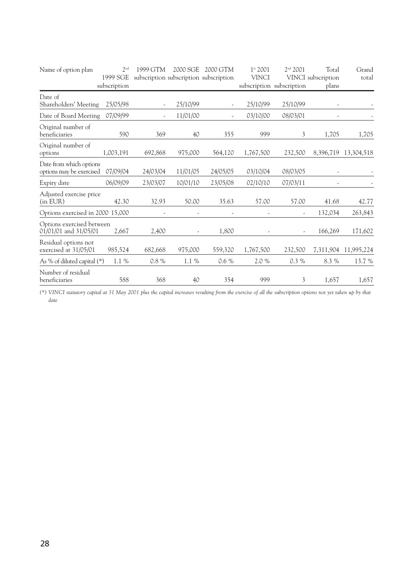| Name of option plan                                 | 2 <sub>nd</sub> | 1999 GTM                               | 2000 SGE                 | 2000 GTM | $1^{st}$ 2001            | 2 <sup>nd</sup> 2001      | Total                    | Grand      |
|-----------------------------------------------------|-----------------|----------------------------------------|--------------------------|----------|--------------------------|---------------------------|--------------------------|------------|
|                                                     | 1999 SGE        | subscription subscription subscription |                          |          | <b>VINCI</b>             |                           | VINCI subscription       | total      |
|                                                     | subscription    |                                        |                          |          |                          | subscription subscription | plans                    |            |
| Date of<br>Shareholders' Meeting                    | 25/05/98        | $\overline{\phantom{a}}$               | 25/10/99                 |          | 25/10/99                 | 25/10/99                  | $\overline{\phantom{a}}$ |            |
| Date of Board Meeting                               | 07/09/99        | ٠                                      | 11/01/00                 |          | 03/10/00                 | 08/03/01                  |                          |            |
| Original number of<br>beneficiaries                 | 590             | 369                                    | 40                       | 355      | 999                      | 3                         | 1,705                    | 1,705      |
| Original number of<br>options                       | 1,003,191       | 692,868                                | 975,000                  | 564,120  | 1,767,500                | 232,500                   | 8,396,719                | 13,304,518 |
| Date from which options<br>options may be exercised | 07/09/04        | 24/03/04                               | 11/01/05                 | 24/05/05 | 03/10/04                 | 08/03/05                  | $\overline{a}$           |            |
| Expiry date                                         | 06/09/09        | 23/03/07                               | 10/01/10                 | 23/05/08 | 02/10/10                 | 07/03/11                  |                          |            |
| Adjusted exercise price<br>(in EUR)                 | 42.30           | 32.93                                  | 50.00                    | 35.63    | 57.00                    | 57.00                     | 41.68                    | 42.77      |
| Options exercised in 2000 15,000                    |                 |                                        | ,                        | ٠        | $\overline{\phantom{a}}$ |                           | 132,034                  | 263,843    |
| Options exercised between<br>01/01/01 and 31/05/01  | 2,667           | 2,400                                  | $\overline{\phantom{a}}$ | 1,800    |                          |                           | 166,269                  | 171,602    |
| Residual options not<br>exercised at 31/05/01       | 985,524         | 682,668                                | 975,000                  | 559,320  | 1,767,500                | 232,500                   | 7,311,904                | 11,995,224 |
| As % of diluted capital (*)                         | $1.1\%$         | 0.8 %                                  | $1.1~\%$                 | 0.6 %    | 2.0%                     | 0.3 %                     | 8.3 %                    | 13.7 %     |
| Number of residual<br>beneficiaries                 | 588             | 368                                    | 40                       | 354      | 999                      | 3                         | 1,657                    | 1,657      |

*(\*) VINCI statutory capital at 31 May 2001 plus the capital increases resulting from the exercise of all the subscription options not yet taken up by that date*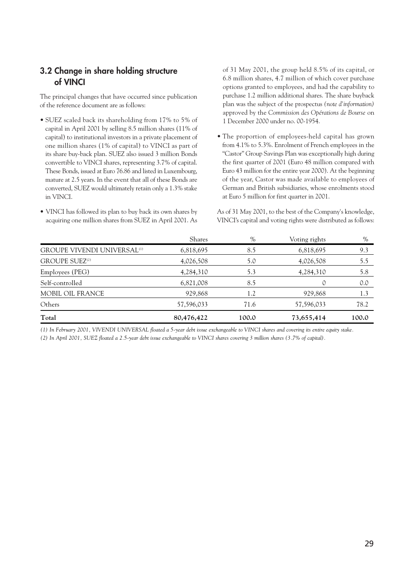#### **3.2 Change in share holding structure of VINCI**

The principal changes that have occurred since publication of the reference document are as follows:

- SUEZ scaled back its shareholding from 17% to 5% of capital in April 2001 by selling 8.5 million shares (11% of capital) to institutional investors in a private placement of one million shares (1% of capital) to VINCI as part of its share buy-back plan. SUEZ also issued 3 million Bonds convertible to VINCI shares, representing 3.7% of capital. These Bonds, issued at Euro 76.86 and listed in Luxembourg, mature at 2.5 years. In the event that all of these Bonds are converted, SUEZ would ultimately retain only a 1.3% stake in VINCI.
- VINCI has followed its plan to buy back its own shares by acquiring one million shares from SUEZ in April 2001. As

of 31 May 2001, the group held 8.5% of its capital, or 6.8 million shares, 4.7 million of which cover purchase options granted to employees, and had the capability to purchase 1.2 million additional shares. The share buyback plan was the subject of the prospectus *(note d'information)* approved by the *Commission des Opérations de Bourse* on 1 December 2000 under no. 00-1954.

• The proportion of employees-held capital has grown from 4.1% to 5.3%. Enrolment of French employees in the "Castor" Group Savings Plan was exceptionally high during the first quarter of 2001 (Euro 48 million compared with Euro 43 million for the entire year 2000). At the beginning of the year, Castor was made available to employees of German and British subsidiaries, whose enrolments stood at Euro 5 million for first quarter in 2001.

As of 31 May 2001, to the best of the Company's knowledge, VINCI's capital and voting rights were distributed as follows:

|                                               | Shares     | $\%$  | Voting rights | $\%$  |
|-----------------------------------------------|------------|-------|---------------|-------|
| <b>GROUPE VIVENDI UNIVERSAL<sup>(1)</sup></b> | 6,818,695  | 8.5   | 6,818,695     | 9.3   |
| <b>GROUPE SUEZ</b> <sup>(2)</sup>             | 4,026,508  | 5.0   | 4,026,508     | 5.5   |
| Employees (PEG)                               | 4,284,310  | 5.3   | 4,284,310     | 5.8   |
| Self-controlled                               | 6,821,008  | 8.5   |               | 0.0   |
| MOBIL OIL FRANCE                              | 929,868    | 1.2   | 929,868       | 1.3   |
| Others                                        | 57,596,033 | 71.6  | 57,596,033    | 78.2  |
| Total                                         | 80,476,422 | 100.0 | 73,655,414    | 100.0 |

*(1) In February 2001, VIVENDI UNIVERSAL floated a 5-year debt issue exchangeable to VINCI shares and covering its entire equity stake.*

*(2) In April 2001, SUEZ floated a 2.5-year debt issue exchangeable to VINCI shares covering 3 million shares (3.7% of capital).*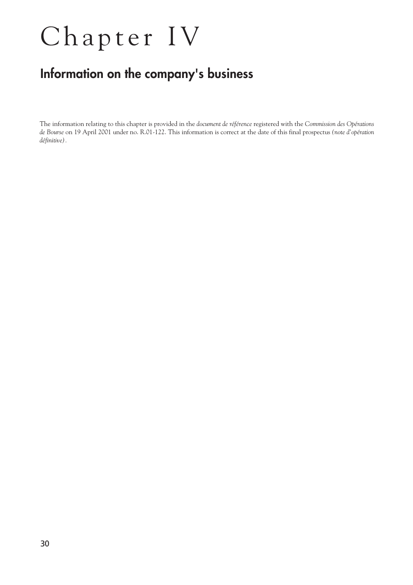## Chapter IV

## **Information on the company's business**

The information relating to this chapter is provided in the *document de référence* registered with the *Commission des Opérations de Bourse* on 19 April 2001 under no. R.01-122. This information is correct at the date of this final prospectus *(note d'opération définitive).*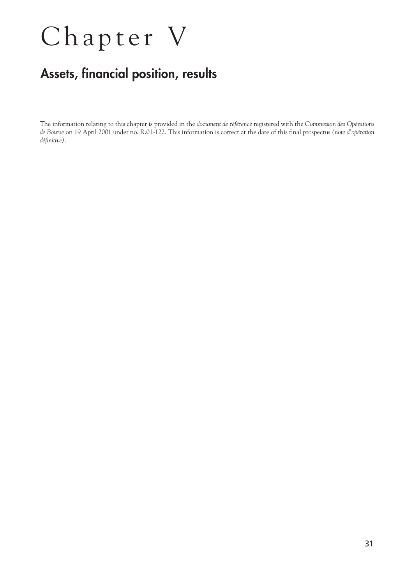## Chapter V

## **Assets, financial position, results**

The information relating to this chapter is provided in the *document de référence* registered with the *Commission des Opérations de Bourse* on 19 April 2001 under no. R.01-122. This information is correct at the date of this final prospectus *(note d'opération définitive).*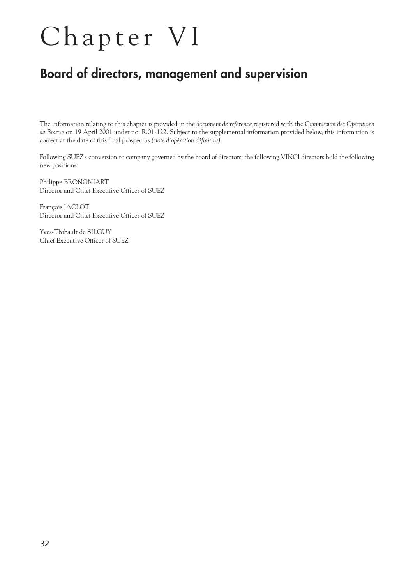## Chapter VI

### **Board of directors, management and supervision**

The information relating to this chapter is provided in the *document de référence* registered with the *Commission des Opérations de Bourse* on 19 April 2001 under no. R.01-122. Subject to the supplemental information provided below, this information is correct at the date of this final prospectus *(note d'opération définitive)*.

Following SUEZ's conversion to company governed by the board of directors, the following VINCI directors hold the following new positions:

Philippe BRONGNIART Director and Chief Executive Officer of SUEZ

François JACLOT Director and Chief Executive Officer of SUEZ

Yves-Thibault de SILGUY Chief Executive Officer of SUEZ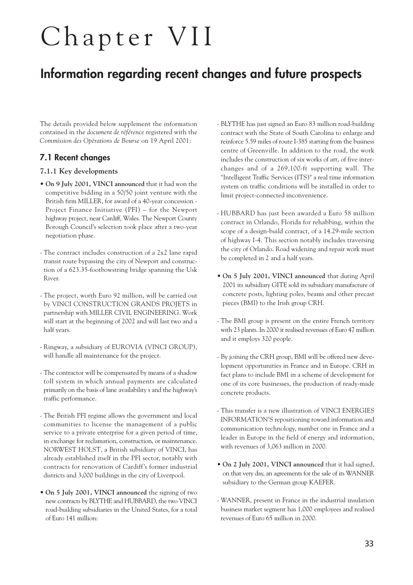## Chapter VII

### **Information regarding recent changes and future prospects**

The details provided below supplement the information contained in the *document de référence* registered with the *Commission des Opérations de Bourse* on 19 April 2001:

#### **7.1 Recent changes**

#### **7.1.1 Key developments**

- **On 9 July 2001, VINCI announced** that it had won the competitive bidding in a 50/50 joint venture with the British firm MILLER, for award of a 40-year concession - Project Finance Initiative (PFI) – for the Newport highway project, near Cardiff, Wales. The Newport County Borough Council's selection took place after a two-year negotiation phase.
- The contract includes construction of a 2x2 lane rapid transit route bypassing the city of Newport and construction of a 623.35-footbowstring bridge spanning the Usk River.
- The project, worth Euro 92 million, will be carried out by VINCI CONSTRUCTION GRANDS PROJETS in partnership with MILLER CIVIL ENGINEERING. Work will start at the beginning of 2002 and will last two and a half years.
- Ringway, a subsidiary of EUROVIA (VINCI GROUP), will handle all maintenance for the project.
- The contractor will be compensated by means of a shadow toll system in which annual payments are calculated primarily on the basis of lane availability s and the highway's traffic performance.
- The British PFI regime allows the government and local communities to license the management of a public service to a private enterprise for a given period of time, in exchange for reclamation, construction, or maintenance. NORWEST HOLST, a British subsidiary of VINCI, has already established itself in the PFI sector, notably with contracts for renovation of Cardiff's former industrial districts and 3,000 buildings in the city of Liverpool.
- **On 5 July 2001, VINCI announced** the signing of two new contracts by BLYTHE and HUBBARD, the two VINCI road-building subsidiaries in the United States, for a total of Euro 141 million:
- BLYTHE has just signed an Euro 83 million road-building contract with the State of South Carolina to enlarge and reinforce 5.59 miles of route I-385 starting from the business centre of Greenville. In addition to the road, the work includes the construction of six works of art, of five interchanges and of a 269,100-ft supporting wall. The "Intelligent Traffic Services (ITS)" a real time information system on traffic conditions will be installed in order to limit project-connected inconvenience.
- HUBBARD has just been awarded a Euro 58 million contract in Orlando, Florida for rehabbing, within the scope of a design-build contract, of a 14.29-mile section of highway I-4. This section notably includes traversing the city of Orlando. Road widening and repair work must be completed in 2 and a half years.
- **On 5 July 2001, VINCI announced** that during April 2001 its subsidiary GITE sold its subsidiary manufacture of concrete posts, lighting poles, beams and other precast pieces (BMI) to the Irish group CRH.
- The BMI group is present on the entire French territory with 23 plants. In 2000 it realised revenues of Euro 47 million and it employs 320 people.
- By joining the CRH group, BMI will be offered new development opportunities in France and in Europe. CRH in fact plans to include BMI in a scheme of development for one of its core businesses, the production of ready-made concrete products.
- This transfer is a new illustration of VINCI ENERGIES INFORMATION'S repositioning toward information and communication technology, number one in France and a leader in Europe in the field of energy and information, with revenues of 3,063 million in 2000.
- **On 2 July 2001, VINCI announced** that it had signed, on that very day, an agreements for the sale of its WANNER subsidiary to the German group KAEFER.
- WANNER, present in France in the industrial insulation business market segment has 1,000 employees and realised revenues of Euro 65 million in 2000.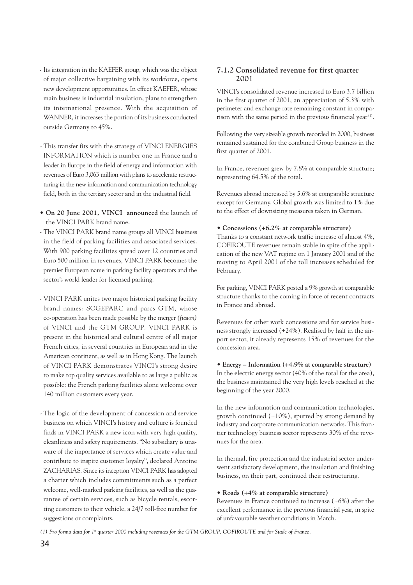- Its integration in the KAEFER group, which was the object of major collective bargaining with its workforce, opens new development opportunities. In effect KAEFER, whose main business is industrial insulation, plans to strengthen its international presence. With the acquisition of WANNER, it increases the portion of its business conducted outside Germany to 45%.
- This transfer fits with the strategy of VINCI ENERGIES INFORMATION which is number one in France and a leader in Europe in the field of energy and information with revenues of Euro 3,063 million with plans to accelerate restructuring in the new information and communication technology field, both in the tertiary sector and in the industrial field.
- **On 20 June 2001, VINCI announced** the launch of the VINCI PARK brand name.
- The VINCI PARK brand name groups all VINCI business in the field of parking facilities and associated services. With 900 parking facilities spread over 12 countries and Euro 500 million in revenues, VINCI PARK becomes the premier European name in parking facility operators and the sector's world leader for licensed parking.
- VINCI PARK unites two major historical parking facility brand names: SOGEPARC and parcs GTM, whose co-operation has been made possible by the merger *(fusion)* of VINCI and the GTM GROUP. VINCI PARK is present in the historical and cultural centre of all major French cities, in several countries in European and in the American continent, as well as in Hong Kong. The launch of VINCI PARK demonstrates VINCI's strong desire to make top quality services available to as large a public as possible: the French parking facilities alone welcome over 140 million customers every year.
- The logic of the development of concession and service business on which VINCI's history and culture is founded finds in VINCI PARK a new icon with very high quality, cleanliness and safety requirements. "No subsidiary is unaware of the importance of services which create value and contribute to inspire customer loyalty", declared Antoine ZACHARIAS. Since its inception VINCI PARK has adopted a charter which includes commitments such as a perfect welcome, well-marked parking facilities, as well as the guarantee of certain services, such as bicycle rentals, escorting customers to their vehicle, a 24/7 toll-free number for suggestions or complaints.

#### **7.1.2 Consolidated revenue for first quarter 2001**

VINCI's consolidated revenue increased to Euro 3.7 billion in the first quarter of 2001, an appreciation of 5.3% with perimeter and exchange rate remaining constant in comparison with the same period in the previous financial year (1).

Following the very sizeable growth recorded in 2000, business remained sustained for the combined Group business in the first quarter of 2001.

In France, revenues grew by 7.8% at comparable structure; representing 64.5% of the total.

Revenues abroad increased by 5.6% at comparable structure except for Germany. Global growth was limited to 1% due to the effect of downsizing measures taken in German.

#### **• Concessions (+6.2% at comparable structure)**

Thanks to a constant network traffic increase of almost 4%, COFIROUTE revenues remain stable in spite of the application of the new VAT regime on 1 January 2001 and of the moving to April 2001 of the toll increases scheduled for February.

For parking, VINCI PARK posted a 9% growth at comparable structure thanks to the coming in force of recent contracts in France and abroad.

Revenues for other work concessions and for service business strongly increased (+24%). Realised by half in the airport sector, it already represents 15% of revenues for the concession area.

#### **• Energy – Information (+4.9% at comparable structure)**

In the electric energy sector (40% of the total for the area), the business maintained the very high levels reached at the beginning of the year 2000.

In the new information and communication technologies, growth continued (+10%), spurred by strong demand by industry and corporate communication networks. This frontier technology business sector represents 30% of the revenues for the area.

In thermal, fire protection and the industrial sector underwent satisfactory development, the insulation and finishing business, on their part, continued their restructuring.

#### **• Roads (+4% at comparable structure)**

Revenues in France continued to increase (+6%) after the excellent performance in the previous financial year, in spite of unfavourable weather conditions in March.

*(1) Pro forma data for 1st quarter 2000 including revenues for the GTM GROUP, COFIROUTE and for Stade of France.*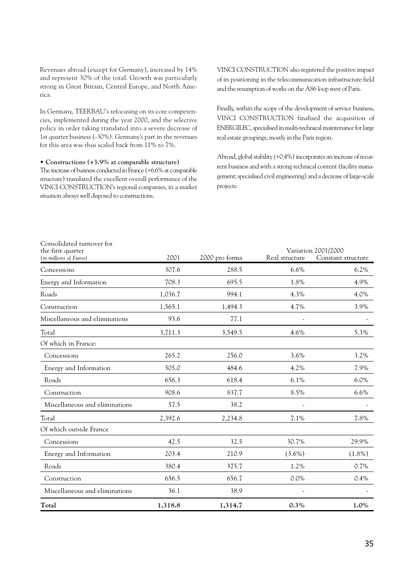Revenues abroad (except for Germany), increased by 14% and represent 30% of the total. Growth was particularly strong in Great Britain, Central Europe, and North America.

In Germany, TEERBAU's refocusing on its core competencies, implemented during the year 2000, and the selective policy in order taking translated into a severe decrease of 1st quarter business (-30%). Germany's part in the revenues for this area was thus scaled back from 11% to 7%.

#### **• Constructions (+3.9% at comparable structure)**

The increase of business conducted in France (+6.6% at comparable structure) translated the excellent overall performance of the VINCI CONSTRUCTION's regional companies, in a market situation always well disposed to constructions.

VINCI CONSTRUCTION also registered the positive impact of its positioning in the telecommunication infrastructure field and the resumption of works on the A86 loop west of Paris.

Finally, within the scope of the development of service business, VINCI CONSTRUCTION finalised the acquisition of ENERGILEC, specialised in multi-technical maintenance for large real estate groupings, mostly in the Paris region.

Abroad, global stability (+0.4%) incorporates an increase of recurrent business and with a strong technical content (facility management; specialised civil engineering) and a decrease of large-scale projects.

| Consolidated turnover for                   |         |                |                |                                           |
|---------------------------------------------|---------|----------------|----------------|-------------------------------------------|
| the first quarter<br>(in millions of Euros) | 2001    | 2000 pro forma | Real structure | Variation 2001/2000<br>Constant structure |
| Concessions                                 | 307.6   | 288.5          | 6.6%           | 6.2%                                      |
| Energy and Information                      | 708.3   | 695.5          | 1.8%           | 4.9%                                      |
| Roads                                       | 1,036.7 | 994.1          | 4.3%           | 4.0%                                      |
| Construction                                | 1,565.1 | 1,494.3        | 4.7%           | 3.9%                                      |
| Miscellaneous and eliminations              | 93.6    | 77.1           | -              |                                           |
| Total                                       | 3,711.3 | 3,549.5        | 4.6%           | 5.3%                                      |
| Of which in France:                         |         |                |                |                                           |
| Concessions                                 | 265.2   | 256.0          | 3.6%           | 3.2%                                      |
| Energy and Information                      | 505.0   | 484.6          | 4.2%           | 7.9%                                      |
| Roads                                       | 656.3   | 618.4          | 6.1%           | 6.0%                                      |
| Construction                                | 908.6   | 837.7          | 8.5%           | 6.6%                                      |
| Miscellaneous and eliminations              | 57.5    | 38.2           |                |                                           |
| Total                                       | 2,392.6 | 2,234.8        | 7.1%           | 7.8%                                      |
| Of which outside France                     |         |                |                |                                           |
| Concessions                                 | 42.5    | 32.5           | 30.7%          | 29.9%                                     |
| Energy and Information                      | 203.4   | 210.9          | $(3.6\%)$      | $(1.8\%)$                                 |
| Roads                                       | 380.4   | 375.7          | 1.2%           | 0.7%                                      |
| Construction                                | 656.5   | 656.7          | 0.0%           | 0.4%                                      |
| Miscellaneous and eliminations              | 36.1    | 38.9           |                |                                           |
| Total                                       | 1,318.8 | 1,314.7        | $0.3\%$        | 1.0%                                      |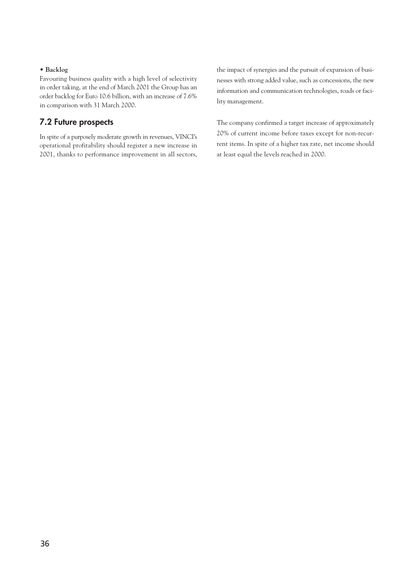#### **• Backlog**

Favouring business quality with a high level of selectivity in order taking, at the end of March 2001 the Group has an order backlog for Euro 10.6 billion, with an increase of 7.6% in comparison with 31 March 2000.

#### **7.2 Future prospects**

In spite of a purposely moderate growth in revenues, VINCI's operational profitability should register a new increase in 2001, thanks to performance improvement in all sectors, the impact of synergies and the pursuit of expansion of businesses with strong added value, such as concessions, the new information and communication technologies, roads or facility management.

The company confirmed a target increase of approximately 20% of current income before taxes except for non-recurrent items. In spite of a higher tax rate, net income should at least equal the levels reached in 2000.